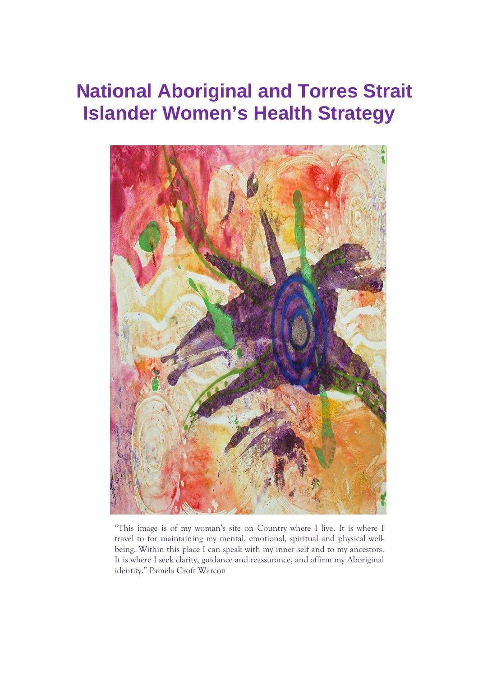## **National Aboriginal and Torres Strait Islander Women's Health Strategy**



"This image is of my woman's site on Country where I live. It is where I travel to for maintaining my mental, emotional, spiritual and physical wellbeing. Within this place I can speak with my inner self and to my ancestors. It is where I seek clarity, guidance and reassurance, and affirm my Aboriginal identity." Pamela Croft Warcon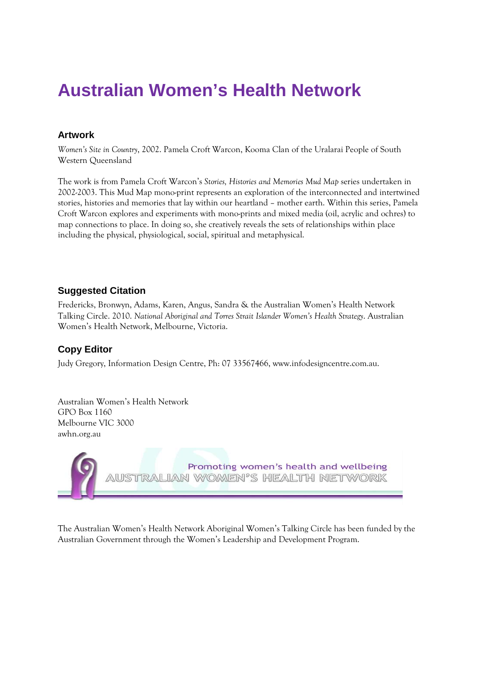## **Australian Women's Health Network**

#### **Artwork**

Women's Site in Country, 2002. Pamela Croft Warcon, Kooma Clan of the Uralarai People of South Western Queensland

The work is from Pamela Croft Warcon's Stories, Histories and Memories Mud Map series undertaken in 2002-2003. This Mud Map mono-print represents an exploration of the interconnected and intertwined stories, histories and memories that lay within our heartland – mother earth. Within this series, Pamela Croft Warcon explores and experiments with mono-prints and mixed media (oil, acrylic and ochres) to map connections to place. In doing so, she creatively reveals the sets of relationships within place including the physical, physiological, social, spiritual and metaphysical.

#### **Suggested Citation**

Fredericks, Bronwyn, Adams, Karen, Angus, Sandra & the Australian Women's Health Network Talking Circle. 2010. National Aboriginal and Torres Strait Islander Women's Health Strategy. Australian Women's Health Network, Melbourne, Victoria.

#### **Copy Editor**

Judy Gregory, Information Design Centre, Ph: 07 33567466, www.infodesigncentre.com.au.

Australian Women's Health Network GPO Box 1160 Melbourne VIC 3000 awhn.org.au



The Australian Women's Health Network Aboriginal Women's Talking Circle has been funded by the Australian Government through the Women's Leadership and Development Program.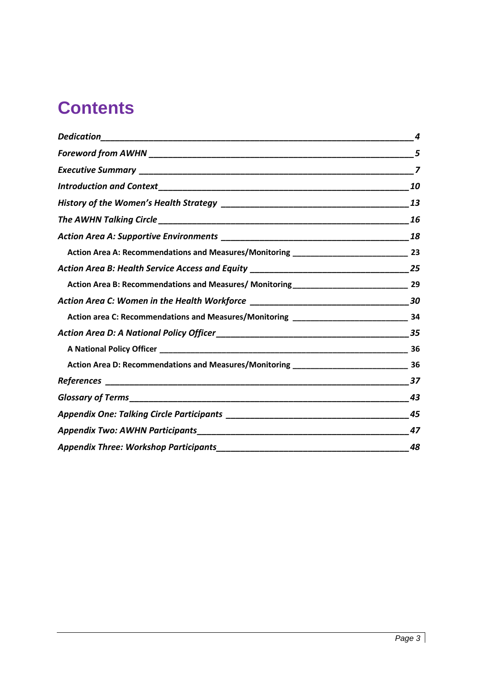## **Contents**

|                                                                                               | 4                |
|-----------------------------------------------------------------------------------------------|------------------|
|                                                                                               |                  |
|                                                                                               |                  |
|                                                                                               | 10               |
|                                                                                               |                  |
|                                                                                               |                  |
|                                                                                               |                  |
|                                                                                               |                  |
|                                                                                               |                  |
|                                                                                               |                  |
|                                                                                               |                  |
| Action area C: Recommendations and Measures/Monitoring ___________________________________ 34 |                  |
|                                                                                               |                  |
|                                                                                               | $\frac{1}{2}$ 36 |
| Action Area D: Recommendations and Measures/Monitoring ___________________________________ 36 |                  |
|                                                                                               |                  |
|                                                                                               | 43               |
|                                                                                               | 45               |
|                                                                                               | 47               |
| <b>Appendix Three: Workshop Participants</b>                                                  | 48               |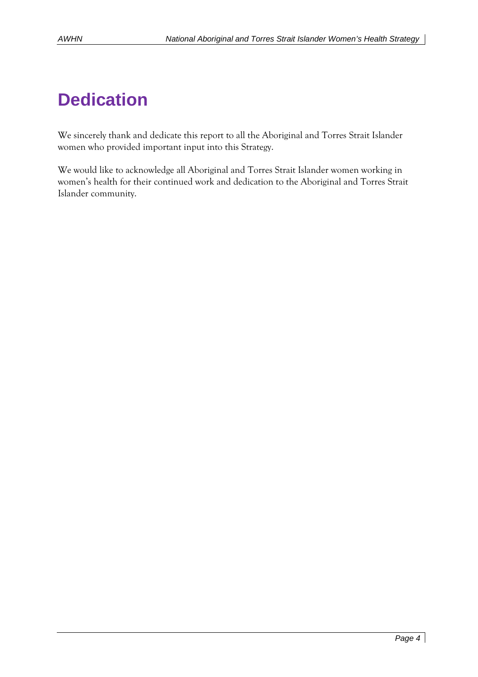# **Dedication**

We sincerely thank and dedicate this report to all the Aboriginal and Torres Strait Islander women who provided important input into this Strategy.

We would like to acknowledge all Aboriginal and Torres Strait Islander women working in women's health for their continued work and dedication to the Aboriginal and Torres Strait Islander community.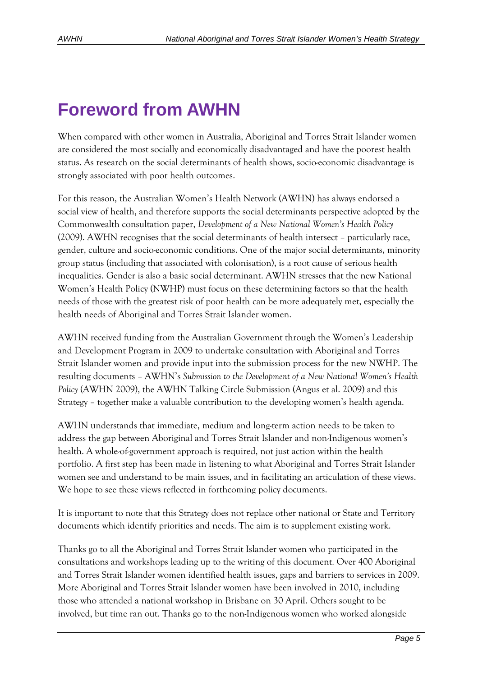# **Foreword from AWHN**

When compared with other women in Australia, Aboriginal and Torres Strait Islander women are considered the most socially and economically disadvantaged and have the poorest health status. As research on the social determinants of health shows, socio-economic disadvantage is strongly associated with poor health outcomes.

For this reason, the Australian Women's Health Network (AWHN) has always endorsed a social view of health, and therefore supports the social determinants perspective adopted by the Commonwealth consultation paper, Development of a New National Women's Health Policy (2009). AWHN recognises that the social determinants of health intersect – particularly race, gender, culture and socio-economic conditions. One of the major social determinants, minority group status (including that associated with colonisation), is a root cause of serious health inequalities. Gender is also a basic social determinant. AWHN stresses that the new National Women's Health Policy (NWHP) must focus on these determining factors so that the health needs of those with the greatest risk of poor health can be more adequately met, especially the health needs of Aboriginal and Torres Strait Islander women.

AWHN received funding from the Australian Government through the Women's Leadership and Development Program in 2009 to undertake consultation with Aboriginal and Torres Strait Islander women and provide input into the submission process for the new NWHP. The resulting documents – AWHN's Submission to the Development of a New National Women's Health Policy (AWHN 2009), the AWHN Talking Circle Submission (Angus et al. 2009) and this Strategy – together make a valuable contribution to the developing women's health agenda.

AWHN understands that immediate, medium and long-term action needs to be taken to address the gap between Aboriginal and Torres Strait Islander and non-Indigenous women's health. A whole-of-government approach is required, not just action within the health portfolio. A first step has been made in listening to what Aboriginal and Torres Strait Islander women see and understand to be main issues, and in facilitating an articulation of these views. We hope to see these views reflected in forthcoming policy documents.

It is important to note that this Strategy does not replace other national or State and Territory documents which identify priorities and needs. The aim is to supplement existing work.

Thanks go to all the Aboriginal and Torres Strait Islander women who participated in the consultations and workshops leading up to the writing of this document. Over 400 Aboriginal and Torres Strait Islander women identified health issues, gaps and barriers to services in 2009. More Aboriginal and Torres Strait Islander women have been involved in 2010, including those who attended a national workshop in Brisbane on 30 April. Others sought to be involved, but time ran out. Thanks go to the non-Indigenous women who worked alongside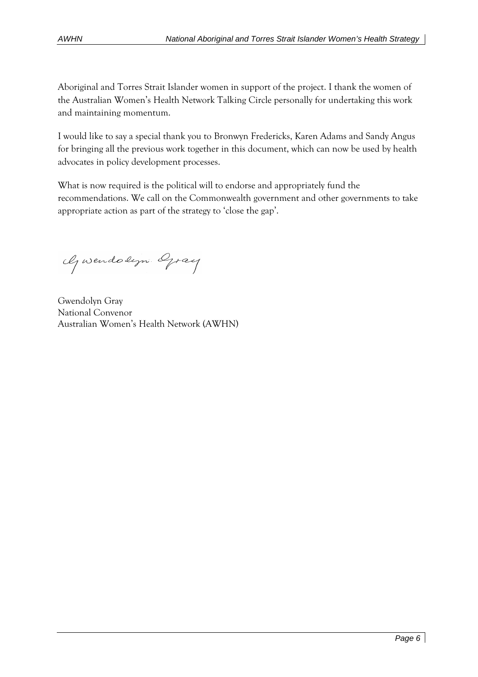Aboriginal and Torres Strait Islander women in support of the project. I thank the women of the Australian Women's Health Network Talking Circle personally for undertaking this work and maintaining momentum.

I would like to say a special thank you to Bronwyn Fredericks, Karen Adams and Sandy Angus for bringing all the previous work together in this document, which can now be used by health advocates in policy development processes.

What is now required is the political will to endorse and appropriately fund the recommendations. We call on the Commonwealth government and other governments to take appropriate action as part of the strategy to 'close the gap'.

I wendo dyn Gray

Gwendolyn Gray National Convenor Australian Women's Health Network (AWHN)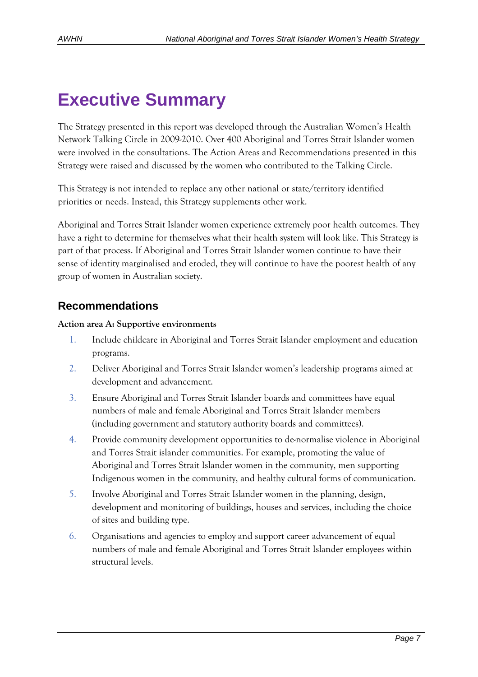## **Executive Summary**

The Strategy presented in this report was developed through the Australian Women's Health Network Talking Circle in 2009-2010. Over 400 Aboriginal and Torres Strait Islander women were involved in the consultations. The Action Areas and Recommendations presented in this Strategy were raised and discussed by the women who contributed to the Talking Circle.

This Strategy is not intended to replace any other national or state/territory identified priorities or needs. Instead, this Strategy supplements other work.

Aboriginal and Torres Strait Islander women experience extremely poor health outcomes. They have a right to determine for themselves what their health system will look like. This Strategy is part of that process. If Aboriginal and Torres Strait Islander women continue to have their sense of identity marginalised and eroded, they will continue to have the poorest health of any group of women in Australian society.

### **Recommendations**

Action area A: Supportive environments

- 1. Include childcare in Aboriginal and Torres Strait Islander employment and education programs.
- 2. Deliver Aboriginal and Torres Strait Islander women's leadership programs aimed at development and advancement.
- 3. Ensure Aboriginal and Torres Strait Islander boards and committees have equal numbers of male and female Aboriginal and Torres Strait Islander members (including government and statutory authority boards and committees).
- 4. Provide community development opportunities to de-normalise violence in Aboriginal and Torres Strait islander communities. For example, promoting the value of Aboriginal and Torres Strait Islander women in the community, men supporting Indigenous women in the community, and healthy cultural forms of communication.
- 5. Involve Aboriginal and Torres Strait Islander women in the planning, design, development and monitoring of buildings, houses and services, including the choice of sites and building type.
- 6. Organisations and agencies to employ and support career advancement of equal numbers of male and female Aboriginal and Torres Strait Islander employees within structural levels.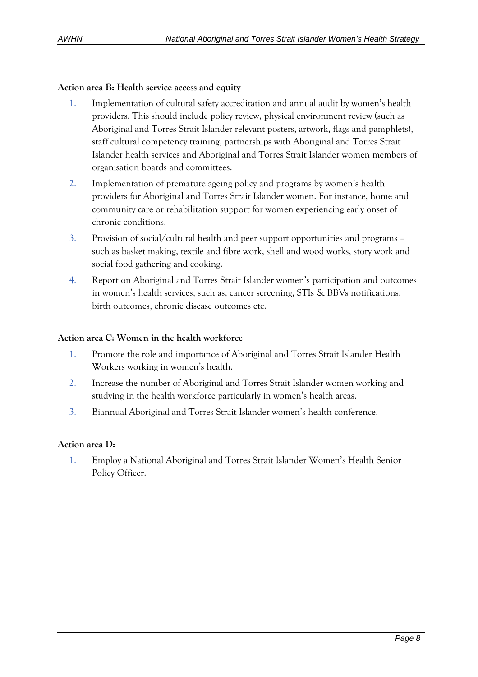#### Action area B: Health service access and equity

- 1. Implementation of cultural safety accreditation and annual audit by women's health providers. This should include policy review, physical environment review (such as Aboriginal and Torres Strait Islander relevant posters, artwork, flags and pamphlets), staff cultural competency training, partnerships with Aboriginal and Torres Strait Islander health services and Aboriginal and Torres Strait Islander women members of organisation boards and committees.
- 2. Implementation of premature ageing policy and programs by women's health providers for Aboriginal and Torres Strait Islander women. For instance, home and community care or rehabilitation support for women experiencing early onset of chronic conditions.
- 3. Provision of social/cultural health and peer support opportunities and programs such as basket making, textile and fibre work, shell and wood works, story work and social food gathering and cooking.
- 4. Report on Aboriginal and Torres Strait Islander women's participation and outcomes in women's health services, such as, cancer screening, STIs & BBVs notifications, birth outcomes, chronic disease outcomes etc.

#### Action area C: Women in the health workforce

- 1. Promote the role and importance of Aboriginal and Torres Strait Islander Health Workers working in women's health.
- 2. Increase the number of Aboriginal and Torres Strait Islander women working and studying in the health workforce particularly in women's health areas.
- 3. Biannual Aboriginal and Torres Strait Islander women's health conference.

#### Action area D:

1. Employ a National Aboriginal and Torres Strait Islander Women's Health Senior Policy Officer.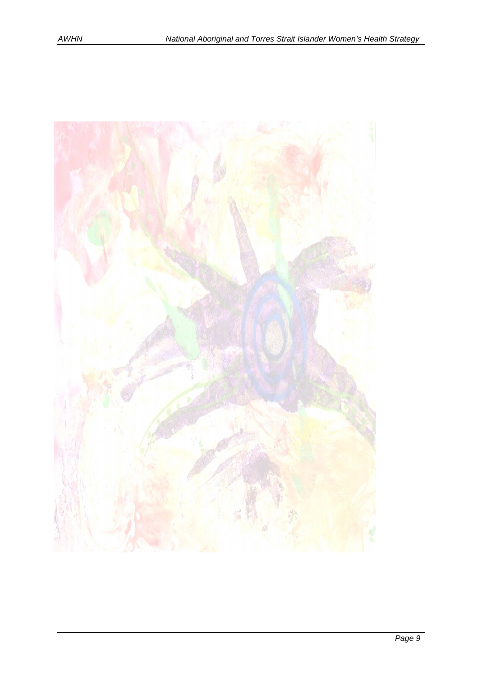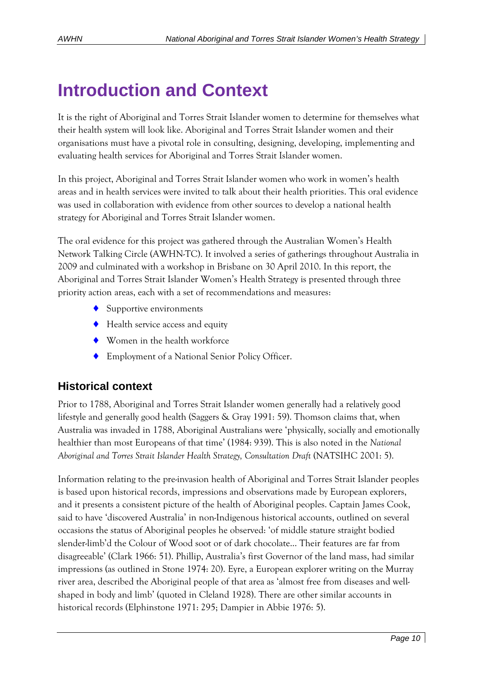## **Introduction and Context**

It is the right of Aboriginal and Torres Strait Islander women to determine for themselves what their health system will look like. Aboriginal and Torres Strait Islander women and their organisations must have a pivotal role in consulting, designing, developing, implementing and evaluating health services for Aboriginal and Torres Strait Islander women.

In this project, Aboriginal and Torres Strait Islander women who work in women's health areas and in health services were invited to talk about their health priorities. This oral evidence was used in collaboration with evidence from other sources to develop a national health strategy for Aboriginal and Torres Strait Islander women.

The oral evidence for this project was gathered through the Australian Women's Health Network Talking Circle (AWHN-TC). It involved a series of gatherings throughout Australia in 2009 and culminated with a workshop in Brisbane on 30 April 2010. In this report, the Aboriginal and Torres Strait Islander Women's Health Strategy is presented through three priority action areas, each with a set of recommendations and measures:

- Supportive environments
- ◆ Health service access and equity
- $\bullet$  Women in the health workforce
- ♦ Employment of a National Senior Policy Officer.

### **Historical context**

Prior to 1788, Aboriginal and Torres Strait Islander women generally had a relatively good lifestyle and generally good health (Saggers & Gray 1991: 59). Thomson claims that, when Australia was invaded in 1788, Aboriginal Australians were 'physically, socially and emotionally healthier than most Europeans of that time' (1984: 939). This is also noted in the National Aboriginal and Torres Strait Islander Health Strategy, Consultation Draft (NATSIHC 2001: 5).

Information relating to the pre-invasion health of Aboriginal and Torres Strait Islander peoples is based upon historical records, impressions and observations made by European explorers, and it presents a consistent picture of the health of Aboriginal peoples. Captain James Cook, said to have 'discovered Australia' in non-Indigenous historical accounts, outlined on several occasions the status of Aboriginal peoples he observed: 'of middle stature straight bodied slender-limb'd the Colour of Wood soot or of dark chocolate... Their features are far from disagreeable' (Clark 1966: 51). Phillip, Australia's first Governor of the land mass, had similar impressions (as outlined in Stone 1974: 20). Eyre, a European explorer writing on the Murray river area, described the Aboriginal people of that area as 'almost free from diseases and wellshaped in body and limb' (quoted in Cleland 1928). There are other similar accounts in historical records (Elphinstone 1971: 295; Dampier in Abbie 1976: 5).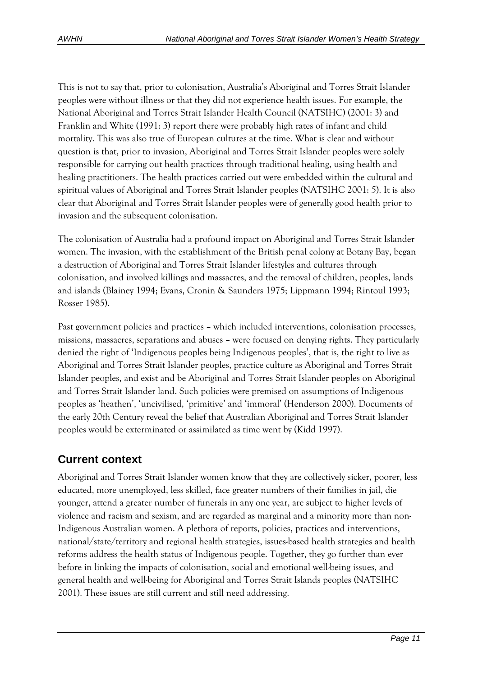This is not to say that, prior to colonisation, Australia's Aboriginal and Torres Strait Islander peoples were without illness or that they did not experience health issues. For example, the National Aboriginal and Torres Strait Islander Health Council (NATSIHC) (2001: 3) and Franklin and White (1991: 3) report there were probably high rates of infant and child mortality. This was also true of European cultures at the time. What is clear and without question is that, prior to invasion, Aboriginal and Torres Strait Islander peoples were solely responsible for carrying out health practices through traditional healing, using health and healing practitioners. The health practices carried out were embedded within the cultural and spiritual values of Aboriginal and Torres Strait Islander peoples (NATSIHC 2001: 5). It is also clear that Aboriginal and Torres Strait Islander peoples were of generally good health prior to invasion and the subsequent colonisation.

The colonisation of Australia had a profound impact on Aboriginal and Torres Strait Islander women. The invasion, with the establishment of the British penal colony at Botany Bay, began a destruction of Aboriginal and Torres Strait Islander lifestyles and cultures through colonisation, and involved killings and massacres, and the removal of children, peoples, lands and islands (Blainey 1994; Evans, Cronin & Saunders 1975; Lippmann 1994; Rintoul 1993; Rosser 1985).

Past government policies and practices – which included interventions, colonisation processes, missions, massacres, separations and abuses – were focused on denying rights. They particularly denied the right of 'Indigenous peoples being Indigenous peoples', that is, the right to live as Aboriginal and Torres Strait Islander peoples, practice culture as Aboriginal and Torres Strait Islander peoples, and exist and be Aboriginal and Torres Strait Islander peoples on Aboriginal and Torres Strait Islander land. Such policies were premised on assumptions of Indigenous peoples as 'heathen', 'uncivilised, 'primitive' and 'immoral' (Henderson 2000). Documents of the early 20th Century reveal the belief that Australian Aboriginal and Torres Strait Islander peoples would be exterminated or assimilated as time went by (Kidd 1997).

### **Current context**

Aboriginal and Torres Strait Islander women know that they are collectively sicker, poorer, less educated, more unemployed, less skilled, face greater numbers of their families in jail, die younger, attend a greater number of funerals in any one year, are subject to higher levels of violence and racism and sexism, and are regarded as marginal and a minority more than non-Indigenous Australian women. A plethora of reports, policies, practices and interventions, national/state/territory and regional health strategies, issues-based health strategies and health reforms address the health status of Indigenous people. Together, they go further than ever before in linking the impacts of colonisation, social and emotional well-being issues, and general health and well-being for Aboriginal and Torres Strait Islands peoples (NATSIHC 2001). These issues are still current and still need addressing.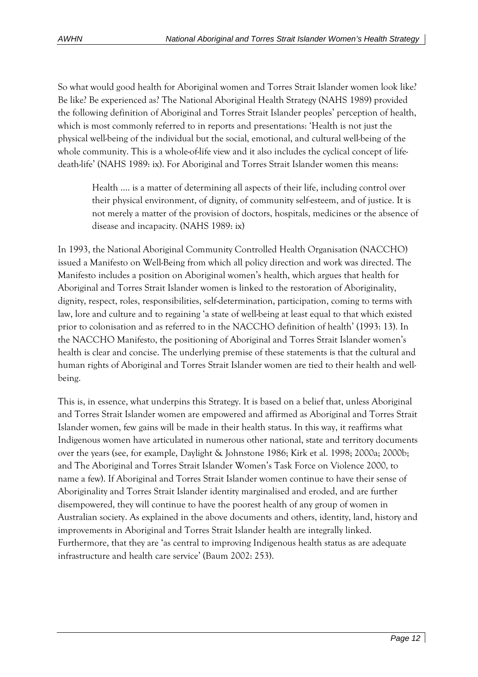So what would good health for Aboriginal women and Torres Strait Islander women look like? Be like? Be experienced as? The National Aboriginal Health Strategy (NAHS 1989) provided the following definition of Aboriginal and Torres Strait Islander peoples' perception of health, which is most commonly referred to in reports and presentations: 'Health is not just the physical well-being of the individual but the social, emotional, and cultural well-being of the whole community. This is a whole-of-life view and it also includes the cyclical concept of lifedeath-life' (NAHS 1989: ix). For Aboriginal and Torres Strait Islander women this means:

Health .... is a matter of determining all aspects of their life, including control over their physical environment, of dignity, of community self-esteem, and of justice. It is not merely a matter of the provision of doctors, hospitals, medicines or the absence of disease and incapacity. (NAHS 1989: ix)

In 1993, the National Aboriginal Community Controlled Health Organisation (NACCHO) issued a Manifesto on Well-Being from which all policy direction and work was directed. The Manifesto includes a position on Aboriginal women's health, which argues that health for Aboriginal and Torres Strait Islander women is linked to the restoration of Aboriginality, dignity, respect, roles, responsibilities, self-determination, participation, coming to terms with law, lore and culture and to regaining 'a state of well-being at least equal to that which existed prior to colonisation and as referred to in the NACCHO definition of health' (1993: 13). In the NACCHO Manifesto, the positioning of Aboriginal and Torres Strait Islander women's health is clear and concise. The underlying premise of these statements is that the cultural and human rights of Aboriginal and Torres Strait Islander women are tied to their health and wellbeing.

This is, in essence, what underpins this Strategy. It is based on a belief that, unless Aboriginal and Torres Strait Islander women are empowered and affirmed as Aboriginal and Torres Strait Islander women, few gains will be made in their health status. In this way, it reaffirms what Indigenous women have articulated in numerous other national, state and territory documents over the years (see, for example, Daylight & Johnstone 1986; Kirk et al. 1998; 2000a; 2000b; and The Aboriginal and Torres Strait Islander Women's Task Force on Violence 2000, to name a few). If Aboriginal and Torres Strait Islander women continue to have their sense of Aboriginality and Torres Strait Islander identity marginalised and eroded, and are further disempowered, they will continue to have the poorest health of any group of women in Australian society. As explained in the above documents and others, identity, land, history and improvements in Aboriginal and Torres Strait Islander health are integrally linked. Furthermore, that they are 'as central to improving Indigenous health status as are adequate infrastructure and health care service' (Baum 2002: 253).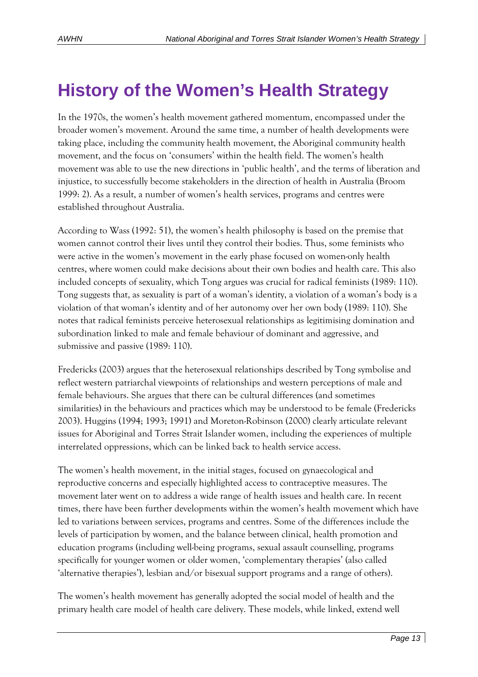## **History of the Women's Health Strategy**

In the 1970s, the women's health movement gathered momentum, encompassed under the broader women's movement. Around the same time, a number of health developments were taking place, including the community health movement, the Aboriginal community health movement, and the focus on 'consumers' within the health field. The women's health movement was able to use the new directions in 'public health', and the terms of liberation and injustice, to successfully become stakeholders in the direction of health in Australia (Broom 1999: 2). As a result, a number of women's health services, programs and centres were established throughout Australia.

According to Wass (1992: 51), the women's health philosophy is based on the premise that women cannot control their lives until they control their bodies. Thus, some feminists who were active in the women's movement in the early phase focused on women-only health centres, where women could make decisions about their own bodies and health care. This also included concepts of sexuality, which Tong argues was crucial for radical feminists (1989: 110). Tong suggests that, as sexuality is part of a woman's identity, a violation of a woman's body is a violation of that woman's identity and of her autonomy over her own body (1989: 110). She notes that radical feminists perceive heterosexual relationships as legitimising domination and subordination linked to male and female behaviour of dominant and aggressive, and submissive and passive (1989: 110).

Fredericks (2003) argues that the heterosexual relationships described by Tong symbolise and reflect western patriarchal viewpoints of relationships and western perceptions of male and female behaviours. She argues that there can be cultural differences (and sometimes similarities) in the behaviours and practices which may be understood to be female (Fredericks 2003). Huggins (1994; 1993; 1991) and Moreton-Robinson (2000) clearly articulate relevant issues for Aboriginal and Torres Strait Islander women, including the experiences of multiple interrelated oppressions, which can be linked back to health service access.

The women's health movement, in the initial stages, focused on gynaecological and reproductive concerns and especially highlighted access to contraceptive measures. The movement later went on to address a wide range of health issues and health care. In recent times, there have been further developments within the women's health movement which have led to variations between services, programs and centres. Some of the differences include the levels of participation by women, and the balance between clinical, health promotion and education programs (including well-being programs, sexual assault counselling, programs specifically for younger women or older women, 'complementary therapies' (also called 'alternative therapies'), lesbian and/or bisexual support programs and a range of others).

The women's health movement has generally adopted the social model of health and the primary health care model of health care delivery. These models, while linked, extend well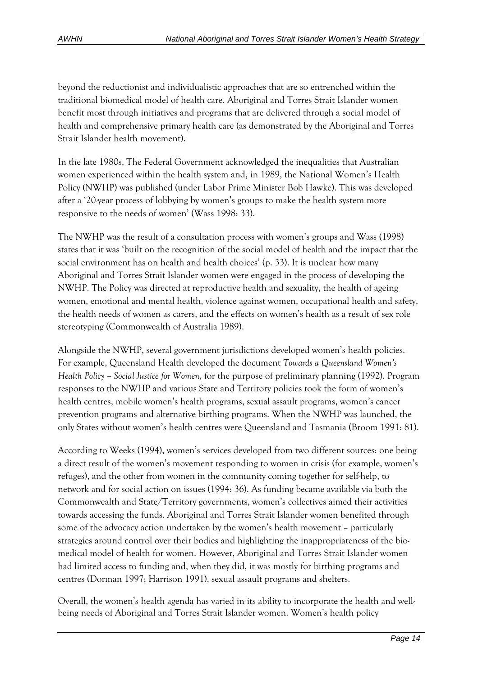beyond the reductionist and individualistic approaches that are so entrenched within the traditional biomedical model of health care. Aboriginal and Torres Strait Islander women benefit most through initiatives and programs that are delivered through a social model of health and comprehensive primary health care (as demonstrated by the Aboriginal and Torres Strait Islander health movement).

In the late 1980s, The Federal Government acknowledged the inequalities that Australian women experienced within the health system and, in 1989, the National Women's Health Policy (NWHP) was published (under Labor Prime Minister Bob Hawke). This was developed after a '20-year process of lobbying by women's groups to make the health system more responsive to the needs of women' (Wass 1998: 33).

The NWHP was the result of a consultation process with women's groups and Wass (1998) states that it was 'built on the recognition of the social model of health and the impact that the social environment has on health and health choices' (p. 33). It is unclear how many Aboriginal and Torres Strait Islander women were engaged in the process of developing the NWHP. The Policy was directed at reproductive health and sexuality, the health of ageing women, emotional and mental health, violence against women, occupational health and safety, the health needs of women as carers, and the effects on women's health as a result of sex role stereotyping (Commonwealth of Australia 1989).

Alongside the NWHP, several government jurisdictions developed women's health policies. For example, Queensland Health developed the document Towards a Queensland Women's Health Policy – Social Justice for Women, for the purpose of preliminary planning (1992). Program responses to the NWHP and various State and Territory policies took the form of women's health centres, mobile women's health programs, sexual assault programs, women's cancer prevention programs and alternative birthing programs. When the NWHP was launched, the only States without women's health centres were Queensland and Tasmania (Broom 1991: 81).

According to Weeks (1994), women's services developed from two different sources: one being a direct result of the women's movement responding to women in crisis (for example, women's refuges), and the other from women in the community coming together for self-help, to network and for social action on issues (1994: 36). As funding became available via both the Commonwealth and State/Territory governments, women's collectives aimed their activities towards accessing the funds. Aboriginal and Torres Strait Islander women benefited through some of the advocacy action undertaken by the women's health movement – particularly strategies around control over their bodies and highlighting the inappropriateness of the biomedical model of health for women. However, Aboriginal and Torres Strait Islander women had limited access to funding and, when they did, it was mostly for birthing programs and centres (Dorman 1997; Harrison 1991), sexual assault programs and shelters.

Overall, the women's health agenda has varied in its ability to incorporate the health and wellbeing needs of Aboriginal and Torres Strait Islander women. Women's health policy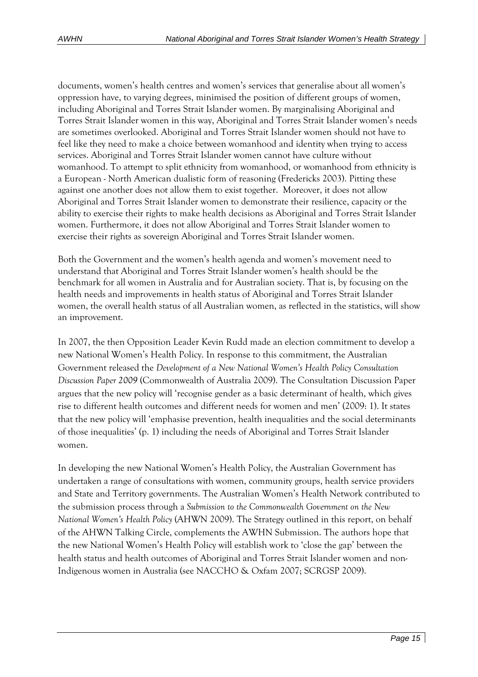documents, women's health centres and women's services that generalise about all women's oppression have, to varying degrees, minimised the position of different groups of women, including Aboriginal and Torres Strait Islander women. By marginalising Aboriginal and Torres Strait Islander women in this way, Aboriginal and Torres Strait Islander women's needs are sometimes overlooked. Aboriginal and Torres Strait Islander women should not have to feel like they need to make a choice between womanhood and identity when trying to access services. Aboriginal and Torres Strait Islander women cannot have culture without womanhood. To attempt to split ethnicity from womanhood, or womanhood from ethnicity is a European - North American dualistic form of reasoning (Fredericks 2003). Pitting these against one another does not allow them to exist together. Moreover, it does not allow Aboriginal and Torres Strait Islander women to demonstrate their resilience, capacity or the ability to exercise their rights to make health decisions as Aboriginal and Torres Strait Islander women. Furthermore, it does not allow Aboriginal and Torres Strait Islander women to exercise their rights as sovereign Aboriginal and Torres Strait Islander women.

Both the Government and the women's health agenda and women's movement need to understand that Aboriginal and Torres Strait Islander women's health should be the benchmark for all women in Australia and for Australian society. That is, by focusing on the health needs and improvements in health status of Aboriginal and Torres Strait Islander women, the overall health status of all Australian women, as reflected in the statistics, will show an improvement.

In 2007, the then Opposition Leader Kevin Rudd made an election commitment to develop a new National Women's Health Policy. In response to this commitment, the Australian Government released the Development of a New National Women's Health Policy Consultation Discussion Paper 2009 (Commonwealth of Australia 2009). The Consultation Discussion Paper argues that the new policy will 'recognise gender as a basic determinant of health, which gives rise to different health outcomes and different needs for women and men' (2009: 1). It states that the new policy will 'emphasise prevention, health inequalities and the social determinants of those inequalities' (p. 1) including the needs of Aboriginal and Torres Strait Islander women.

In developing the new National Women's Health Policy, the Australian Government has undertaken a range of consultations with women, community groups, health service providers and State and Territory governments. The Australian Women's Health Network contributed to the submission process through a Submission to the Commonwealth Government on the New National Women's Health Policy (AHWN 2009). The Strategy outlined in this report, on behalf of the AHWN Talking Circle, complements the AWHN Submission. The authors hope that the new National Women's Health Policy will establish work to 'close the gap' between the health status and health outcomes of Aboriginal and Torres Strait Islander women and non-Indigenous women in Australia (see NACCHO & Oxfam 2007; SCRGSP 2009).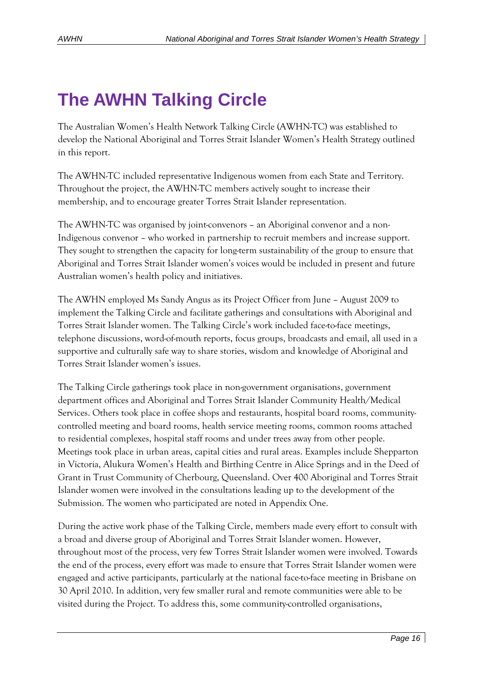# **The AWHN Talking Circle**

The Australian Women's Health Network Talking Circle (AWHN-TC) was established to develop the National Aboriginal and Torres Strait Islander Women's Health Strategy outlined in this report.

The AWHN-TC included representative Indigenous women from each State and Territory. Throughout the project, the AWHN-TC members actively sought to increase their membership, and to encourage greater Torres Strait Islander representation.

The AWHN-TC was organised by joint-convenors – an Aboriginal convenor and a non-Indigenous convenor – who worked in partnership to recruit members and increase support. They sought to strengthen the capacity for long-term sustainability of the group to ensure that Aboriginal and Torres Strait Islander women's voices would be included in present and future Australian women's health policy and initiatives.

The AWHN employed Ms Sandy Angus as its Project Officer from June – August 2009 to implement the Talking Circle and facilitate gatherings and consultations with Aboriginal and Torres Strait Islander women. The Talking Circle's work included face-to-face meetings, telephone discussions, word-of-mouth reports, focus groups, broadcasts and email, all used in a supportive and culturally safe way to share stories, wisdom and knowledge of Aboriginal and Torres Strait Islander women's issues.

The Talking Circle gatherings took place in non-government organisations, government department offices and Aboriginal and Torres Strait Islander Community Health/Medical Services. Others took place in coffee shops and restaurants, hospital board rooms, communitycontrolled meeting and board rooms, health service meeting rooms, common rooms attached to residential complexes, hospital staff rooms and under trees away from other people. Meetings took place in urban areas, capital cities and rural areas. Examples include Shepparton in Victoria, Alukura Women's Health and Birthing Centre in Alice Springs and in the Deed of Grant in Trust Community of Cherbourg, Queensland. Over 400 Aboriginal and Torres Strait Islander women were involved in the consultations leading up to the development of the Submission. The women who participated are noted in Appendix One.

During the active work phase of the Talking Circle, members made every effort to consult with a broad and diverse group of Aboriginal and Torres Strait Islander women. However, throughout most of the process, very few Torres Strait Islander women were involved. Towards the end of the process, every effort was made to ensure that Torres Strait Islander women were engaged and active participants, particularly at the national face-to-face meeting in Brisbane on 30 April 2010. In addition, very few smaller rural and remote communities were able to be visited during the Project. To address this, some community-controlled organisations,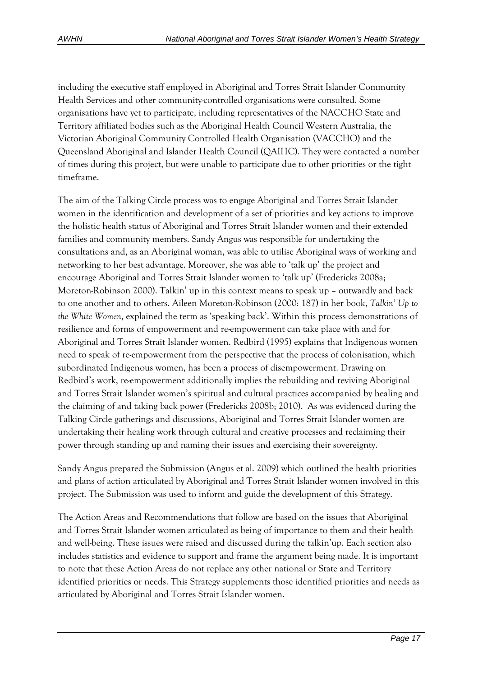including the executive staff employed in Aboriginal and Torres Strait Islander Community Health Services and other community-controlled organisations were consulted. Some organisations have yet to participate, including representatives of the NACCHO State and Territory affiliated bodies such as the Aboriginal Health Council Western Australia, the Victorian Aboriginal Community Controlled Health Organisation (VACCHO) and the Queensland Aboriginal and Islander Health Council (QAIHC). They were contacted a number of times during this project, but were unable to participate due to other priorities or the tight timeframe.

The aim of the Talking Circle process was to engage Aboriginal and Torres Strait Islander women in the identification and development of a set of priorities and key actions to improve the holistic health status of Aboriginal and Torres Strait Islander women and their extended families and community members. Sandy Angus was responsible for undertaking the consultations and, as an Aboriginal woman, was able to utilise Aboriginal ways of working and networking to her best advantage. Moreover, she was able to 'talk up' the project and encourage Aboriginal and Torres Strait Islander women to 'talk up' (Fredericks 2008a; Moreton-Robinson 2000). Talkin' up in this context means to speak up – outwardly and back to one another and to others. Aileen Moreton-Robinson (2000: 187) in her book, Talkin' Up to the White Women, explained the term as 'speaking back'. Within this process demonstrations of resilience and forms of empowerment and re-empowerment can take place with and for Aboriginal and Torres Strait Islander women. Redbird (1995) explains that Indigenous women need to speak of re-empowerment from the perspective that the process of colonisation, which subordinated Indigenous women, has been a process of disempowerment. Drawing on Redbird's work, re-empowerment additionally implies the rebuilding and reviving Aboriginal and Torres Strait Islander women's spiritual and cultural practices accompanied by healing and the claiming of and taking back power (Fredericks 2008b; 2010). As was evidenced during the Talking Circle gatherings and discussions, Aboriginal and Torres Strait Islander women are undertaking their healing work through cultural and creative processes and reclaiming their power through standing up and naming their issues and exercising their sovereignty.

Sandy Angus prepared the Submission (Angus et al. 2009) which outlined the health priorities and plans of action articulated by Aboriginal and Torres Strait Islander women involved in this project. The Submission was used to inform and guide the development of this Strategy.

The Action Areas and Recommendations that follow are based on the issues that Aboriginal and Torres Strait Islander women articulated as being of importance to them and their health and well-being. These issues were raised and discussed during the talkin'up. Each section also includes statistics and evidence to support and frame the argument being made. It is important to note that these Action Areas do not replace any other national or State and Territory identified priorities or needs. This Strategy supplements those identified priorities and needs as articulated by Aboriginal and Torres Strait Islander women.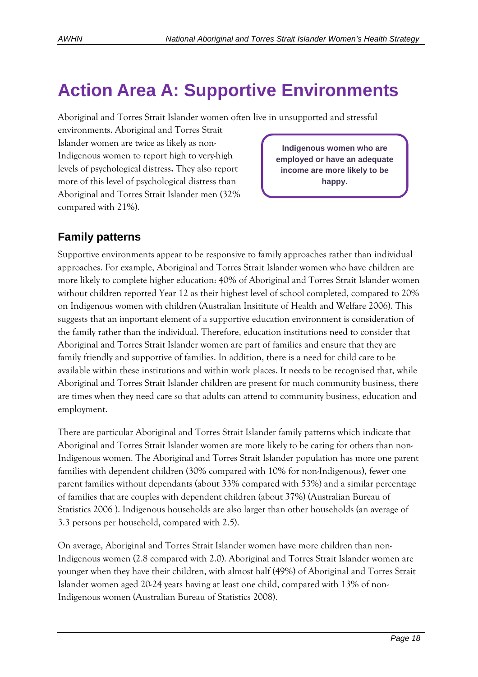# **Action Area A: Supportive Environments**

Aboriginal and Torres Strait Islander women often live in unsupported and stressful

environments. Aboriginal and Torres Strait Islander women are twice as likely as non-Indigenous women to report high to very-high levels of psychological distress. They also report more of this level of psychological distress than Aboriginal and Torres Strait Islander men (32% compared with 21%).

**Indigenous women who are employed or have an adequate income are more likely to be happy.** 

### **Family patterns**

Supportive environments appear to be responsive to family approaches rather than individual approaches. For example, Aboriginal and Torres Strait Islander women who have children are more likely to complete higher education: 40% of Aboriginal and Torres Strait Islander women without children reported Year 12 as their highest level of school completed, compared to 20% on Indigenous women with children (Australian Insititute of Health and Welfare 2006). This suggests that an important element of a supportive education environment is consideration of the family rather than the individual. Therefore, education institutions need to consider that Aboriginal and Torres Strait Islander women are part of families and ensure that they are family friendly and supportive of families. In addition, there is a need for child care to be available within these institutions and within work places. It needs to be recognised that, while Aboriginal and Torres Strait Islander children are present for much community business, there are times when they need care so that adults can attend to community business, education and employment.

There are particular Aboriginal and Torres Strait Islander family patterns which indicate that Aboriginal and Torres Strait Islander women are more likely to be caring for others than non-Indigenous women. The Aboriginal and Torres Strait Islander population has more one parent families with dependent children (30% compared with 10% for non-Indigenous), fewer one parent families without dependants (about 33% compared with 53%) and a similar percentage of families that are couples with dependent children (about 37%) (Australian Bureau of Statistics 2006 ). Indigenous households are also larger than other households (an average of 3.3 persons per household, compared with 2.5).

On average, Aboriginal and Torres Strait Islander women have more children than non-Indigenous women (2.8 compared with 2.0). Aboriginal and Torres Strait Islander women are younger when they have their children, with almost half (49%) of Aboriginal and Torres Strait Islander women aged 20-24 years having at least one child, compared with 13% of non-Indigenous women (Australian Bureau of Statistics 2008).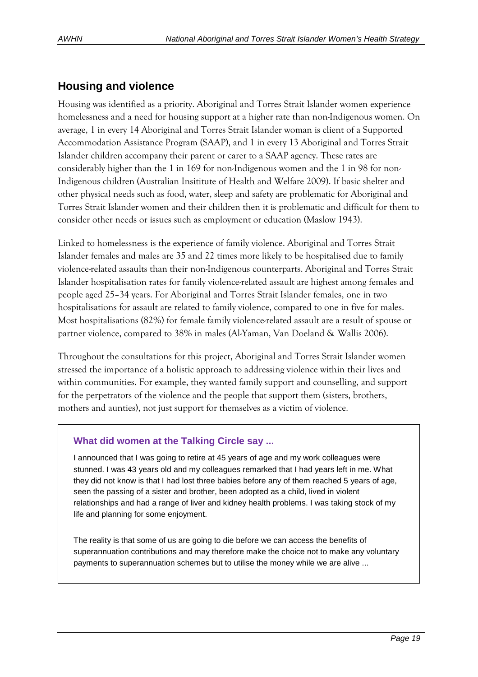### **Housing and violence**

Housing was identified as a priority. Aboriginal and Torres Strait Islander women experience homelessness and a need for housing support at a higher rate than non-Indigenous women. On average, 1 in every 14 Aboriginal and Torres Strait Islander woman is client of a Supported Accommodation Assistance Program (SAAP), and 1 in every 13 Aboriginal and Torres Strait Islander children accompany their parent or carer to a SAAP agency. These rates are considerably higher than the 1 in 169 for non-Indigenous women and the 1 in 98 for non-Indigenous children (Australian Insititute of Health and Welfare 2009). If basic shelter and other physical needs such as food, water, sleep and safety are problematic for Aboriginal and Torres Strait Islander women and their children then it is problematic and difficult for them to consider other needs or issues such as employment or education (Maslow 1943).

Linked to homelessness is the experience of family violence. Aboriginal and Torres Strait Islander females and males are 35 and 22 times more likely to be hospitalised due to family violence-related assaults than their non-Indigenous counterparts. Aboriginal and Torres Strait Islander hospitalisation rates for family violence-related assault are highest among females and people aged 25–34 years. For Aboriginal and Torres Strait Islander females, one in two hospitalisations for assault are related to family violence, compared to one in five for males. Most hospitalisations (82%) for female family violence-related assault are a result of spouse or partner violence, compared to 38% in males (Al-Yaman, Van Doeland & Wallis 2006).

Throughout the consultations for this project, Aboriginal and Torres Strait Islander women stressed the importance of a holistic approach to addressing violence within their lives and within communities. For example, they wanted family support and counselling, and support for the perpetrators of the violence and the people that support them (sisters, brothers, mothers and aunties), not just support for themselves as a victim of violence.

#### **What did women at the Talking Circle say ...**

I announced that I was going to retire at 45 years of age and my work colleagues were stunned. I was 43 years old and my colleagues remarked that I had years left in me. What they did not know is that I had lost three babies before any of them reached 5 years of age, seen the passing of a sister and brother, been adopted as a child, lived in violent relationships and had a range of liver and kidney health problems. I was taking stock of my life and planning for some enjoyment.

The reality is that some of us are going to die before we can access the benefits of superannuation contributions and may therefore make the choice not to make any voluntary payments to superannuation schemes but to utilise the money while we are alive ...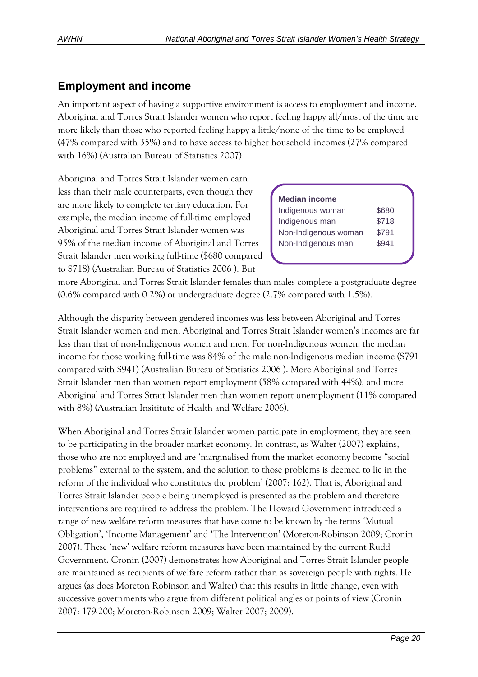### **Employment and income**

An important aspect of having a supportive environment is access to employment and income. Aboriginal and Torres Strait Islander women who report feeling happy all/most of the time are more likely than those who reported feeling happy a little/none of the time to be employed (47% compared with 35%) and to have access to higher household incomes (27% compared with 16%) (Australian Bureau of Statistics 2007).

Aboriginal and Torres Strait Islander women earn less than their male counterparts, even though they are more likely to complete tertiary education. For example, the median income of full-time employed Aboriginal and Torres Strait Islander women was 95% of the median income of Aboriginal and Torres Strait Islander men working full-time (\$680 compared to \$718) (Australian Bureau of Statistics 2006 ). But

| <b>Median income</b> |       |
|----------------------|-------|
| Indigenous woman     | \$680 |
| Indigenous man       | \$718 |
| Non-Indigenous woman | \$791 |
| Non-Indigenous man   | \$941 |
|                      |       |

more Aboriginal and Torres Strait Islander females than males complete a postgraduate degree (0.6% compared with 0.2%) or undergraduate degree (2.7% compared with 1.5%).

Although the disparity between gendered incomes was less between Aboriginal and Torres Strait Islander women and men, Aboriginal and Torres Strait Islander women's incomes are far less than that of non-Indigenous women and men. For non-Indigenous women, the median income for those working full-time was 84% of the male non-Indigenous median income (\$791 compared with \$941) (Australian Bureau of Statistics 2006 ). More Aboriginal and Torres Strait Islander men than women report employment (58% compared with 44%), and more Aboriginal and Torres Strait Islander men than women report unemployment (11% compared with 8%) (Australian Insititute of Health and Welfare 2006).

When Aboriginal and Torres Strait Islander women participate in employment, they are seen to be participating in the broader market economy. In contrast, as Walter (2007) explains, those who are not employed and are 'marginalised from the market economy become "social problems" external to the system, and the solution to those problems is deemed to lie in the reform of the individual who constitutes the problem' (2007: 162). That is, Aboriginal and Torres Strait Islander people being unemployed is presented as the problem and therefore interventions are required to address the problem. The Howard Government introduced a range of new welfare reform measures that have come to be known by the terms 'Mutual Obligation', 'Income Management' and 'The Intervention' (Moreton-Robinson 2009; Cronin 2007). These 'new' welfare reform measures have been maintained by the current Rudd Government. Cronin (2007) demonstrates how Aboriginal and Torres Strait Islander people are maintained as recipients of welfare reform rather than as sovereign people with rights. He argues (as does Moreton Robinson and Walter) that this results in little change, even with successive governments who argue from different political angles or points of view (Cronin 2007: 179-200; Moreton-Robinson 2009; Walter 2007; 2009).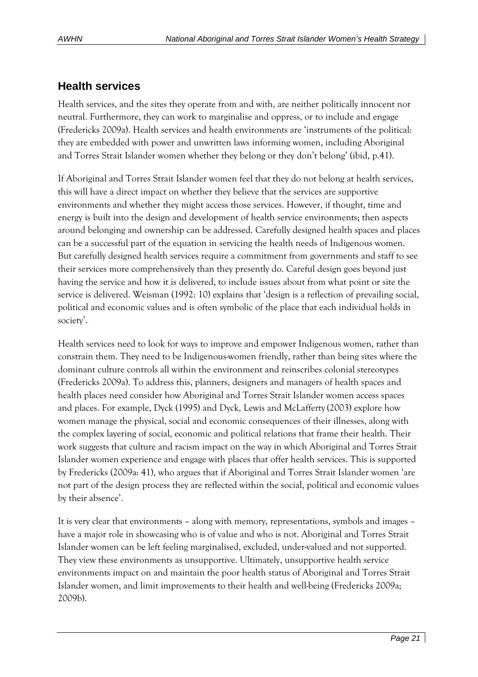### **Health services**

Health services, and the sites they operate from and with, are neither politically innocent nor neutral. Furthermore, they can work to marginalise and oppress, or to include and engage (Fredericks 2009a). Health services and health environments are 'instruments of the political: they are embedded with power and unwritten laws informing women, including Aboriginal and Torres Strait Islander women whether they belong or they don't belong' (ibid, p.41).

If Aboriginal and Torres Strait Islander women feel that they do not belong at health services, this will have a direct impact on whether they believe that the services are supportive environments and whether they might access those services. However, if thought, time and energy is built into the design and development of health service environments; then aspects around belonging and ownership can be addressed. Carefully designed health spaces and places can be a successful part of the equation in servicing the health needs of Indigenous women. But carefully designed health services require a commitment from governments and staff to see their services more comprehensively than they presently do. Careful design goes beyond just having the service and how it is delivered, to include issues about from what point or site the service is delivered. Weisman (1992: 10) explains that 'design is a reflection of prevailing social, political and economic values and is often symbolic of the place that each individual holds in society'.

Health services need to look for ways to improve and empower Indigenous women, rather than constrain them. They need to be Indigenous-women friendly, rather than being sites where the dominant culture controls all within the environment and reinscribes colonial stereotypes (Fredericks 2009a). To address this, planners, designers and managers of health spaces and health places need consider how Aboriginal and Torres Strait Islander women access spaces and places. For example, Dyck (1995) and Dyck, Lewis and McLafferty(2003) explore how women manage the physical, social and economic consequences of their illnesses, along with the complex layering of social, economic and political relations that frame their health. Their work suggests that culture and racism impact on the way in which Aboriginal and Torres Strait Islander women experience and engage with places that offer health services. This is supported by Fredericks (2009a: 41), who argues that if Aboriginal and Torres Strait Islander women 'are not part of the design process they are reflected within the social, political and economic values by their absence'.

It is very clear that environments – along with memory, representations, symbols and images – have a major role in showcasing who is of value and who is not. Aboriginal and Torres Strait Islander women can be left feeling marginalised, excluded, under-valued and not supported. They view these environments as unsupportive. Ultimately, unsupportive health service environments impact on and maintain the poor health status of Aboriginal and Torres Strait Islander women, and limit improvements to their health and well-being (Fredericks 2009a; 2009b).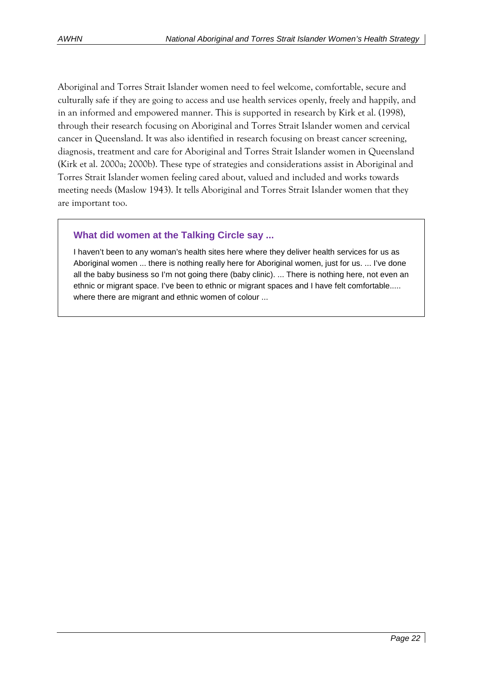Aboriginal and Torres Strait Islander women need to feel welcome, comfortable, secure and culturally safe if they are going to access and use health services openly, freely and happily, and in an informed and empowered manner. This is supported in research by Kirk et al. (1998), through their research focusing on Aboriginal and Torres Strait Islander women and cervical cancer in Queensland. It was also identified in research focusing on breast cancer screening, diagnosis, treatment and care for Aboriginal and Torres Strait Islander women in Queensland (Kirk et al. 2000a; 2000b). These type of strategies and considerations assist in Aboriginal and Torres Strait Islander women feeling cared about, valued and included and works towards meeting needs (Maslow 1943). It tells Aboriginal and Torres Strait Islander women that they are important too.

#### **What did women at the Talking Circle say ...**

I haven't been to any woman's health sites here where they deliver health services for us as Aboriginal women ... there is nothing really here for Aboriginal women, just for us. ... I've done all the baby business so I'm not going there (baby clinic). ... There is nothing here, not even an ethnic or migrant space. I've been to ethnic or migrant spaces and I have felt comfortable..... where there are migrant and ethnic women of colour ...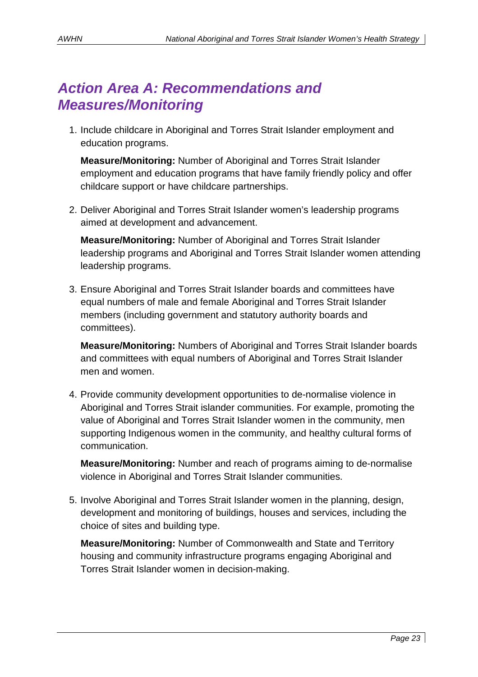### **Action Area A: Recommendations and Measures/Monitoring**

1. Include childcare in Aboriginal and Torres Strait Islander employment and education programs.

**Measure/Monitoring:** Number of Aboriginal and Torres Strait Islander employment and education programs that have family friendly policy and offer childcare support or have childcare partnerships.

2. Deliver Aboriginal and Torres Strait Islander women's leadership programs aimed at development and advancement.

**Measure/Monitoring:** Number of Aboriginal and Torres Strait Islander leadership programs and Aboriginal and Torres Strait Islander women attending leadership programs.

3. Ensure Aboriginal and Torres Strait Islander boards and committees have equal numbers of male and female Aboriginal and Torres Strait Islander members (including government and statutory authority boards and committees).

**Measure/Monitoring:** Numbers of Aboriginal and Torres Strait Islander boards and committees with equal numbers of Aboriginal and Torres Strait Islander men and women.

4. Provide community development opportunities to de-normalise violence in Aboriginal and Torres Strait islander communities. For example, promoting the value of Aboriginal and Torres Strait Islander women in the community, men supporting Indigenous women in the community, and healthy cultural forms of communication.

**Measure/Monitoring:** Number and reach of programs aiming to de-normalise violence in Aboriginal and Torres Strait Islander communities.

5. Involve Aboriginal and Torres Strait Islander women in the planning, design, development and monitoring of buildings, houses and services, including the choice of sites and building type.

**Measure/Monitoring:** Number of Commonwealth and State and Territory housing and community infrastructure programs engaging Aboriginal and Torres Strait Islander women in decision-making.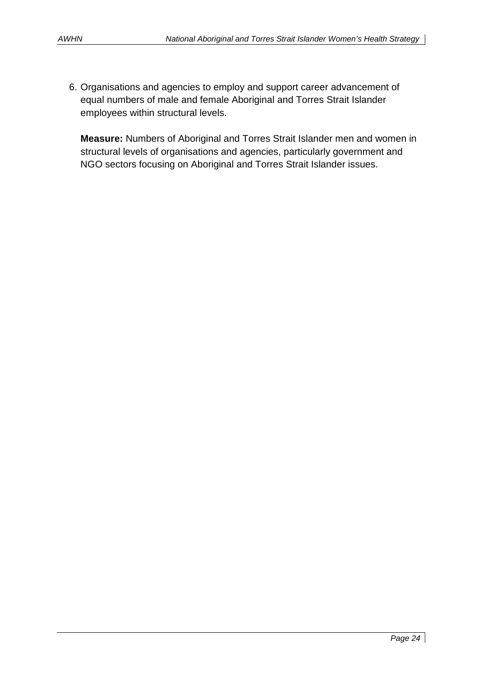6. Organisations and agencies to employ and support career advancement of equal numbers of male and female Aboriginal and Torres Strait Islander employees within structural levels.

**Measure:** Numbers of Aboriginal and Torres Strait Islander men and women in structural levels of organisations and agencies, particularly government and NGO sectors focusing on Aboriginal and Torres Strait Islander issues.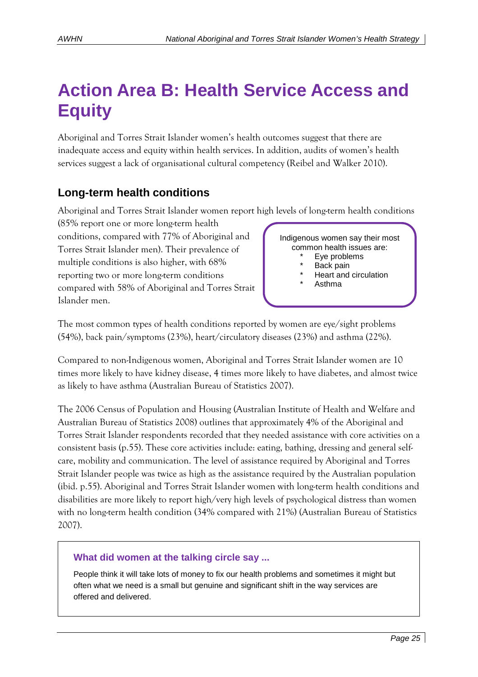## **Action Area B: Health Service Access and Equity**

Aboriginal and Torres Strait Islander women's health outcomes suggest that there are inadequate access and equity within health services. In addition, audits of women's health services suggest a lack of organisational cultural competency (Reibel and Walker 2010).

### **Long-term health conditions**

Aboriginal and Torres Strait Islander women report high levels of long-term health conditions

(85% report one or more long-term health conditions, compared with 77% of Aboriginal and Torres Strait Islander men). Their prevalence of multiple conditions is also higher, with 68% reporting two or more long-term conditions compared with 58% of Aboriginal and Torres Strait Islander men.

Indigenous women say their most common health issues are:

- Eye problems
- Back pain
- Heart and circulation
- Asthma

The most common types of health conditions reported by women are eye/sight problems (54%), back pain/symptoms (23%), heart/circulatory diseases (23%) and asthma (22%).

Compared to non-Indigenous women, Aboriginal and Torres Strait Islander women are 10 times more likely to have kidney disease, 4 times more likely to have diabetes, and almost twice as likely to have asthma (Australian Bureau of Statistics 2007).

The 2006 Census of Population and Housing (Australian Institute of Health and Welfare and Australian Bureau of Statistics 2008) outlines that approximately 4% of the Aboriginal and Torres Strait Islander respondents recorded that they needed assistance with core activities on a consistent basis (p.55). These core activities include: eating, bathing, dressing and general selfcare, mobility and communication. The level of assistance required by Aboriginal and Torres Strait Islander people was twice as high as the assistance required by the Australian population (ibid. p.55). Aboriginal and Torres Strait Islander women with long-term health conditions and disabilities are more likely to report high/very high levels of psychological distress than women with no long-term health condition (34% compared with 21%) (Australian Bureau of Statistics 2007).

#### **What did women at the talking circle say ...**

People think it will take lots of money to fix our health problems and sometimes it might but often what we need is a small but genuine and significant shift in the way services are offered and delivered.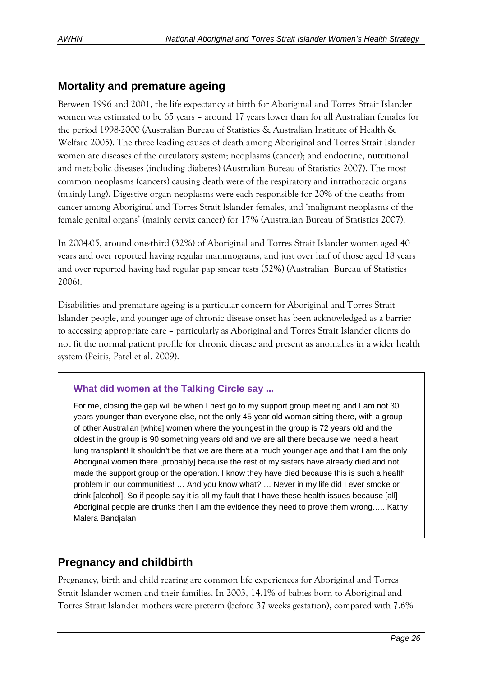### **Mortality and premature ageing**

Between 1996 and 2001, the life expectancy at birth for Aboriginal and Torres Strait Islander women was estimated to be 65 years – around 17 years lower than for all Australian females for the period 1998-2000 (Australian Bureau of Statistics & Australian Institute of Health & Welfare 2005). The three leading causes of death among Aboriginal and Torres Strait Islander women are diseases of the circulatory system; neoplasms (cancer); and endocrine, nutritional and metabolic diseases (including diabetes) (Australian Bureau of Statistics 2007). The most common neoplasms (cancers) causing death were of the respiratory and intrathoracic organs (mainly lung). Digestive organ neoplasms were each responsible for 20% of the deaths from cancer among Aboriginal and Torres Strait Islander females, and 'malignant neoplasms of the female genital organs' (mainly cervix cancer) for 17% (Australian Bureau of Statistics 2007).

In 2004-05, around one-third (32%) of Aboriginal and Torres Strait Islander women aged 40 years and over reported having regular mammograms, and just over half of those aged 18 years and over reported having had regular pap smear tests (52%) (Australian Bureau of Statistics 2006).

Disabilities and premature ageing is a particular concern for Aboriginal and Torres Strait Islander people, and younger age of chronic disease onset has been acknowledged as a barrier to accessing appropriate care – particularly as Aboriginal and Torres Strait Islander clients do not fit the normal patient profile for chronic disease and present as anomalies in a wider health system (Peiris, Patel et al. 2009).

#### **What did women at the Talking Circle say ...**

For me, closing the gap will be when I next go to my support group meeting and I am not 30 years younger than everyone else, not the only 45 year old woman sitting there, with a group of other Australian [white] women where the youngest in the group is 72 years old and the oldest in the group is 90 something years old and we are all there because we need a heart lung transplant! It shouldn't be that we are there at a much younger age and that I am the only Aboriginal women there [probably] because the rest of my sisters have already died and not made the support group or the operation. I know they have died because this is such a health problem in our communities! … And you know what? … Never in my life did I ever smoke or drink [alcohol]. So if people say it is all my fault that I have these health issues because [all] Aboriginal people are drunks then I am the evidence they need to prove them wrong….. Kathy Malera Bandjalan

### **Pregnancy and childbirth**

Pregnancy, birth and child rearing are common life experiences for Aboriginal and Torres Strait Islander women and their families. In 2003, 14.1% of babies born to Aboriginal and Torres Strait Islander mothers were preterm (before 37 weeks gestation), compared with 7.6%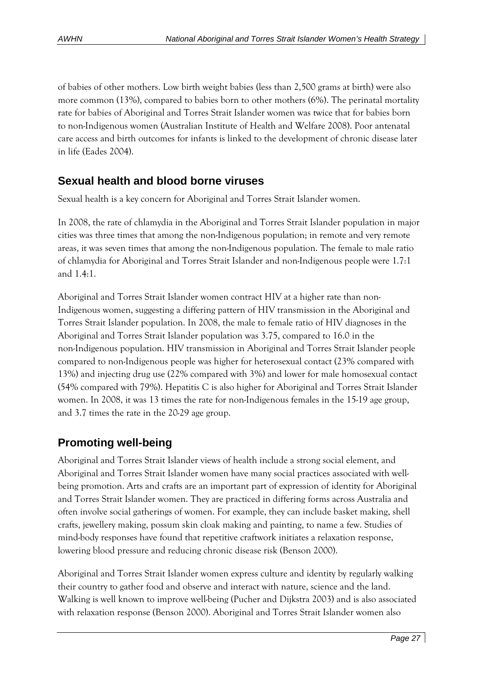of babies of other mothers. Low birth weight babies (less than 2,500 grams at birth) were also more common (13%), compared to babies born to other mothers (6%). The perinatal mortality rate for babies of Aboriginal and Torres Strait Islander women was twice that for babies born to non-Indigenous women (Australian Institute of Health and Welfare 2008). Poor antenatal care access and birth outcomes for infants is linked to the development of chronic disease later in life (Eades 2004).

### **Sexual health and blood borne viruses**

Sexual health is a key concern for Aboriginal and Torres Strait Islander women.

In 2008, the rate of chlamydia in the Aboriginal and Torres Strait Islander population in major cities was three times that among the non-Indigenous population; in remote and very remote areas, it was seven times that among the non-Indigenous population. The female to male ratio of chlamydia for Aboriginal and Torres Strait Islander and non-Indigenous people were 1.7:1 and 1.4:1.

Aboriginal and Torres Strait Islander women contract HIV at a higher rate than non-Indigenous women, suggesting a differing pattern of HIV transmission in the Aboriginal and Torres Strait Islander population. In 2008, the male to female ratio of HIV diagnoses in the Aboriginal and Torres Strait Islander population was 3.75, compared to 16.0 in the non-Indigenous population. HIV transmission in Aboriginal and Torres Strait Islander people compared to non-Indigenous people was higher for heterosexual contact (23% compared with 13%) and injecting drug use (22% compared with 3%) and lower for male homosexual contact (54% compared with 79%). Hepatitis C is also higher for Aboriginal and Torres Strait Islander women. In 2008, it was 13 times the rate for non-Indigenous females in the 15-19 age group, and 3.7 times the rate in the 20-29 age group.

### **Promoting well-being**

Aboriginal and Torres Strait Islander views of health include a strong social element, and Aboriginal and Torres Strait Islander women have many social practices associated with wellbeing promotion. Arts and crafts are an important part of expression of identity for Aboriginal and Torres Strait Islander women. They are practiced in differing forms across Australia and often involve social gatherings of women. For example, they can include basket making, shell crafts, jewellery making, possum skin cloak making and painting, to name a few. Studies of mind-body responses have found that repetitive craftwork initiates a relaxation response, lowering blood pressure and reducing chronic disease risk (Benson 2000).

Aboriginal and Torres Strait Islander women express culture and identity by regularly walking their country to gather food and observe and interact with nature, science and the land. Walking is well known to improve well-being (Pucher and Dijkstra 2003) and is also associated with relaxation response (Benson 2000). Aboriginal and Torres Strait Islander women also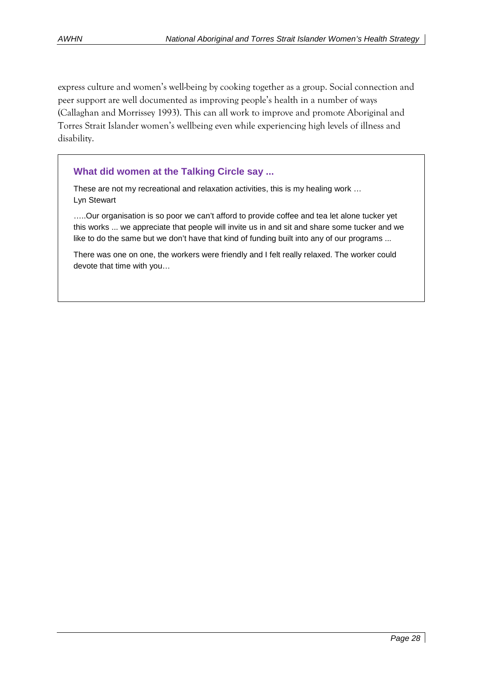express culture and women's well-being by cooking together as a group. Social connection and peer support are well documented as improving people's health in a number of ways (Callaghan and Morrissey 1993). This can all work to improve and promote Aboriginal and Torres Strait Islander women's wellbeing even while experiencing high levels of illness and disability.

#### **What did women at the Talking Circle say ...**

These are not my recreational and relaxation activities, this is my healing work … Lyn Stewart

…..Our organisation is so poor we can't afford to provide coffee and tea let alone tucker yet this works ... we appreciate that people will invite us in and sit and share some tucker and we like to do the same but we don't have that kind of funding built into any of our programs ...

There was one on one, the workers were friendly and I felt really relaxed. The worker could devote that time with you…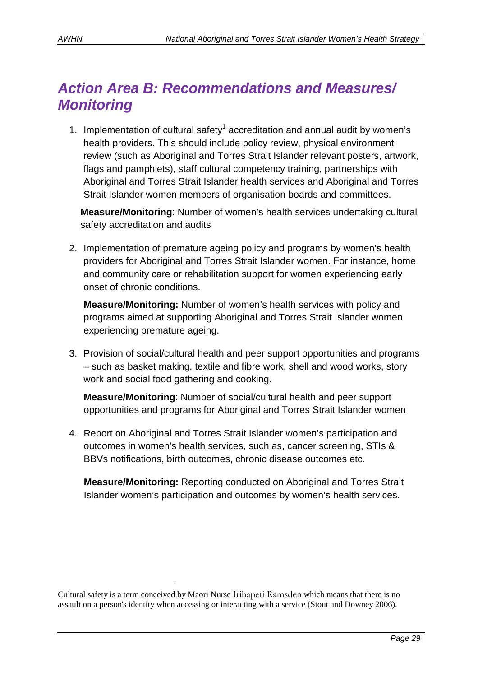$\overline{a}$ 

### **Action Area B: Recommendations and Measures/ Monitoring**

1. Implementation of cultural safety<sup>1</sup> accreditation and annual audit by women's health providers. This should include policy review, physical environment review (such as Aboriginal and Torres Strait Islander relevant posters, artwork, flags and pamphlets), staff cultural competency training, partnerships with Aboriginal and Torres Strait Islander health services and Aboriginal and Torres Strait Islander women members of organisation boards and committees.

**Measure/Monitoring**: Number of women's health services undertaking cultural safety accreditation and audits

2. Implementation of premature ageing policy and programs by women's health providers for Aboriginal and Torres Strait Islander women. For instance, home and community care or rehabilitation support for women experiencing early onset of chronic conditions.

**Measure/Monitoring:** Number of women's health services with policy and programs aimed at supporting Aboriginal and Torres Strait Islander women experiencing premature ageing.

3. Provision of social/cultural health and peer support opportunities and programs – such as basket making, textile and fibre work, shell and wood works, story work and social food gathering and cooking.

**Measure/Monitoring**: Number of social/cultural health and peer support opportunities and programs for Aboriginal and Torres Strait Islander women

4. Report on Aboriginal and Torres Strait Islander women's participation and outcomes in women's health services, such as, cancer screening, STIs & BBVs notifications, birth outcomes, chronic disease outcomes etc.

**Measure/Monitoring:** Reporting conducted on Aboriginal and Torres Strait Islander women's participation and outcomes by women's health services.

Cultural safety is a term conceived by Maori Nurse Irihapeti Ramsden which means that there is no assault on a person's identity when accessing or interacting with a service (Stout and Downey 2006).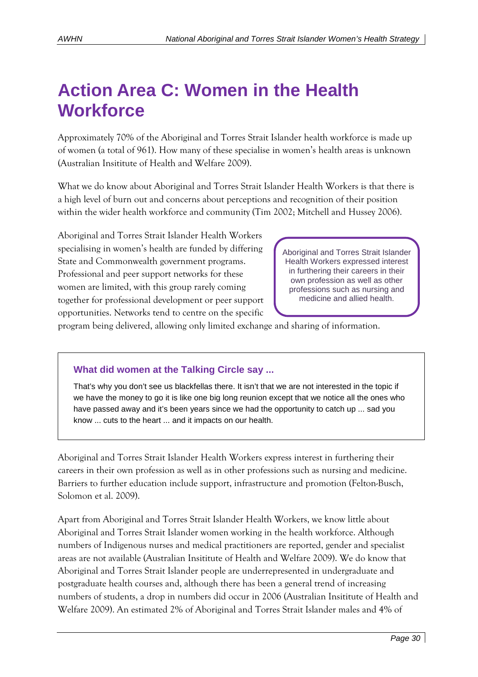## **Action Area C: Women in the Health Workforce**

Approximately 70% of the Aboriginal and Torres Strait Islander health workforce is made up of women (a total of 961). How many of these specialise in women's health areas is unknown (Australian Insititute of Health and Welfare 2009).

What we do know about Aboriginal and Torres Strait Islander Health Workers is that there is a high level of burn out and concerns about perceptions and recognition of their position within the wider health workforce and community (Tim 2002; Mitchell and Hussey 2006).

Aboriginal and Torres Strait Islander Health Workers specialising in women's health are funded by differing State and Commonwealth government programs. Professional and peer support networks for these women are limited, with this group rarely coming together for professional development or peer support opportunities. Networks tend to centre on the specific

Aboriginal and Torres Strait Islander Health Workers expressed interest in furthering their careers in their own profession as well as other professions such as nursing and medicine and allied health.

program being delivered, allowing only limited exchange and sharing of information.

#### **What did women at the Talking Circle say ...**

That's why you don't see us blackfellas there. It isn't that we are not interested in the topic if we have the money to go it is like one big long reunion except that we notice all the ones who have passed away and it's been years since we had the opportunity to catch up ... sad you know ... cuts to the heart ... and it impacts on our health.

Aboriginal and Torres Strait Islander Health Workers express interest in furthering their careers in their own profession as well as in other professions such as nursing and medicine. Barriers to further education include support, infrastructure and promotion (Felton-Busch, Solomon et al. 2009).

Apart from Aboriginal and Torres Strait Islander Health Workers, we know little about Aboriginal and Torres Strait Islander women working in the health workforce. Although numbers of Indigenous nurses and medical practitioners are reported, gender and specialist areas are not available (Australian Insititute of Health and Welfare 2009). We do know that Aboriginal and Torres Strait Islander people are underrepresented in undergraduate and postgraduate health courses and, although there has been a general trend of increasing numbers of students, a drop in numbers did occur in 2006 (Australian Insititute of Health and Welfare 2009). An estimated 2% of Aboriginal and Torres Strait Islander males and 4% of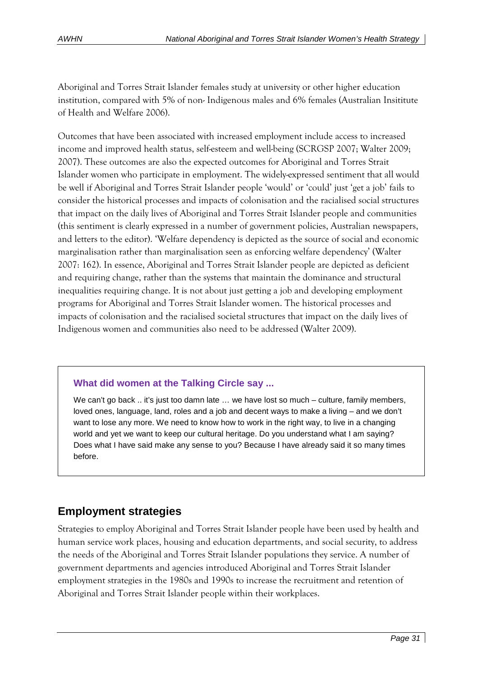Aboriginal and Torres Strait Islander females study at university or other higher education institution, compared with 5% of non- Indigenous males and 6% females (Australian Insititute of Health and Welfare 2006).

Outcomes that have been associated with increased employment include access to increased income and improved health status, self-esteem and well-being (SCRGSP 2007; Walter 2009; 2007). These outcomes are also the expected outcomes for Aboriginal and Torres Strait Islander women who participate in employment. The widely-expressed sentiment that all would be well if Aboriginal and Torres Strait Islander people 'would' or 'could' just 'get a job' fails to consider the historical processes and impacts of colonisation and the racialised social structures that impact on the daily lives of Aboriginal and Torres Strait Islander people and communities (this sentiment is clearly expressed in a number of government policies, Australian newspapers, and letters to the editor). 'Welfare dependency is depicted as the source of social and economic marginalisation rather than marginalisation seen as enforcing welfare dependency' (Walter 2007: 162). In essence, Aboriginal and Torres Strait Islander people are depicted as deficient and requiring change, rather than the systems that maintain the dominance and structural inequalities requiring change. It is not about just getting a job and developing employment programs for Aboriginal and Torres Strait Islander women. The historical processes and impacts of colonisation and the racialised societal structures that impact on the daily lives of Indigenous women and communities also need to be addressed (Walter 2009).

#### **What did women at the Talking Circle say ...**

We can't go back .. it's just too damn late ... we have lost so much – culture, family members, loved ones, language, land, roles and a job and decent ways to make a living – and we don't want to lose any more. We need to know how to work in the right way, to live in a changing world and yet we want to keep our cultural heritage. Do you understand what I am saying? Does what I have said make any sense to you? Because I have already said it so many times before.

### **Employment strategies**

Strategies to employ Aboriginal and Torres Strait Islander people have been used by health and human service work places, housing and education departments, and social security, to address the needs of the Aboriginal and Torres Strait Islander populations they service. A number of government departments and agencies introduced Aboriginal and Torres Strait Islander employment strategies in the 1980s and 1990s to increase the recruitment and retention of Aboriginal and Torres Strait Islander people within their workplaces.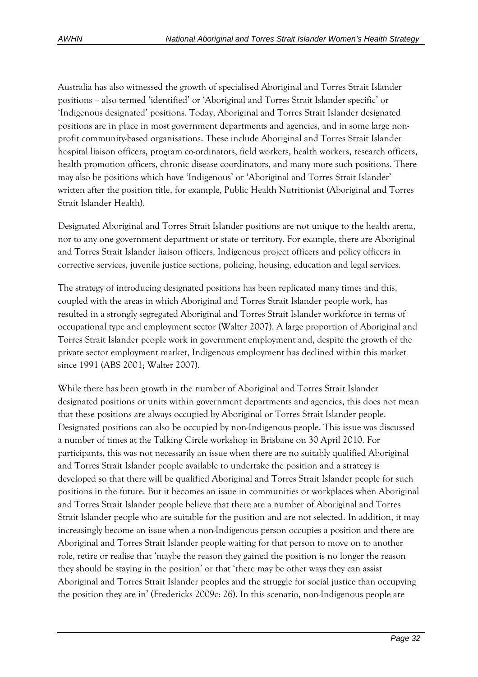Australia has also witnessed the growth of specialised Aboriginal and Torres Strait Islander positions – also termed 'identified' or 'Aboriginal and Torres Strait Islander specific' or 'Indigenous designated' positions. Today, Aboriginal and Torres Strait Islander designated positions are in place in most government departments and agencies, and in some large nonprofit community-based organisations. These include Aboriginal and Torres Strait Islander hospital liaison officers, program co-ordinators, field workers, health workers, research officers, health promotion officers, chronic disease coordinators, and many more such positions. There may also be positions which have 'Indigenous' or 'Aboriginal and Torres Strait Islander' written after the position title, for example, Public Health Nutritionist (Aboriginal and Torres Strait Islander Health).

Designated Aboriginal and Torres Strait Islander positions are not unique to the health arena, nor to any one government department or state or territory. For example, there are Aboriginal and Torres Strait Islander liaison officers, Indigenous project officers and policy officers in corrective services, juvenile justice sections, policing, housing, education and legal services.

The strategy of introducing designated positions has been replicated many times and this, coupled with the areas in which Aboriginal and Torres Strait Islander people work, has resulted in a strongly segregated Aboriginal and Torres Strait Islander workforce in terms of occupational type and employment sector (Walter 2007). A large proportion of Aboriginal and Torres Strait Islander people work in government employment and, despite the growth of the private sector employment market, Indigenous employment has declined within this market since 1991 (ABS 2001; Walter 2007).

While there has been growth in the number of Aboriginal and Torres Strait Islander designated positions or units within government departments and agencies, this does not mean that these positions are always occupied by Aboriginal or Torres Strait Islander people. Designated positions can also be occupied by non-Indigenous people. This issue was discussed a number of times at the Talking Circle workshop in Brisbane on 30 April 2010. For participants, this was not necessarily an issue when there are no suitably qualified Aboriginal and Torres Strait Islander people available to undertake the position and a strategy is developed so that there will be qualified Aboriginal and Torres Strait Islander people for such positions in the future. But it becomes an issue in communities or workplaces when Aboriginal and Torres Strait Islander people believe that there are a number of Aboriginal and Torres Strait Islander people who are suitable for the position and are not selected. In addition, it may increasingly become an issue when a non-Indigenous person occupies a position and there are Aboriginal and Torres Strait Islander people waiting for that person to move on to another role, retire or realise that 'maybe the reason they gained the position is no longer the reason they should be staying in the position' or that 'there may be other ways they can assist Aboriginal and Torres Strait Islander peoples and the struggle for social justice than occupying the position they are in' (Fredericks 2009c: 26). In this scenario, non-Indigenous people are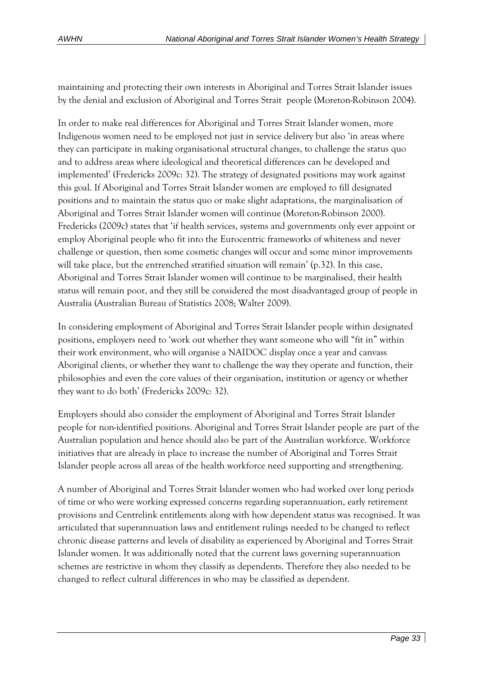maintaining and protecting their own interests in Aboriginal and Torres Strait Islander issues by the denial and exclusion of Aboriginal and Torres Strait people (Moreton-Robinson 2004).

In order to make real differences for Aboriginal and Torres Strait Islander women, more Indigenous women need to be employed not just in service delivery but also 'in areas where they can participate in making organisational structural changes, to challenge the status quo and to address areas where ideological and theoretical differences can be developed and implemented' (Fredericks 2009c: 32). The strategy of designated positions may work against this goal. If Aboriginal and Torres Strait Islander women are employed to fill designated positions and to maintain the status quo or make slight adaptations, the marginalisation of Aboriginal and Torres Strait Islander women will continue (Moreton-Robinson 2000). Fredericks (2009c) states that 'if health services, systems and governments only ever appoint or employ Aboriginal people who fit into the Eurocentric frameworks of whiteness and never challenge or question, then some cosmetic changes will occur and some minor improvements will take place, but the entrenched stratified situation will remain' (p.32). In this case, Aboriginal and Torres Strait Islander women will continue to be marginalised, their health status will remain poor, and they still be considered the most disadvantaged group of people in Australia (Australian Bureau of Statistics 2008; Walter 2009).

In considering employment of Aboriginal and Torres Strait Islander people within designated positions, employers need to 'work out whether they want someone who will "fit in" within their work environment, who will organise a NAIDOC display once a year and canvass Aboriginal clients, or whether they want to challenge the way they operate and function, their philosophies and even the core values of their organisation, institution or agency or whether they want to do both' (Fredericks 2009c: 32).

Employers should also consider the employment of Aboriginal and Torres Strait Islander people for non-identified positions. Aboriginal and Torres Strait Islander people are part of the Australian population and hence should also be part of the Australian workforce. Workforce initiatives that are already in place to increase the number of Aboriginal and Torres Strait Islander people across all areas of the health workforce need supporting and strengthening.

A number of Aboriginal and Torres Strait Islander women who had worked over long periods of time or who were working expressed concerns regarding superannuation, early retirement provisions and Centrelink entitlements along with how dependent status was recognised. It was articulated that superannuation laws and entitlement rulings needed to be changed to reflect chronic disease patterns and levels of disability as experienced by Aboriginal and Torres Strait Islander women. It was additionally noted that the current laws governing superannuation schemes are restrictive in whom they classify as dependents. Therefore they also needed to be changed to reflect cultural differences in who may be classified as dependent.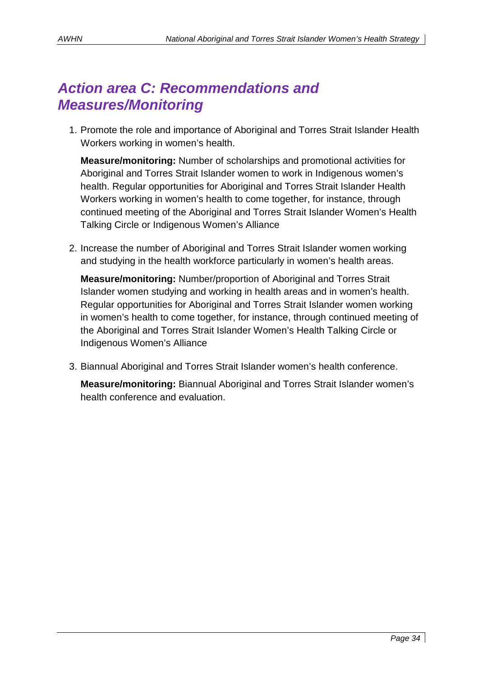### **Action area C: Recommendations and Measures/Monitoring**

1. Promote the role and importance of Aboriginal and Torres Strait Islander Health Workers working in women's health.

**Measure/monitoring:** Number of scholarships and promotional activities for Aboriginal and Torres Strait Islander women to work in Indigenous women's health. Regular opportunities for Aboriginal and Torres Strait Islander Health Workers working in women's health to come together, for instance, through continued meeting of the Aboriginal and Torres Strait Islander Women's Health Talking Circle or Indigenous Women's Alliance

2. Increase the number of Aboriginal and Torres Strait Islander women working and studying in the health workforce particularly in women's health areas.

**Measure/monitoring:** Number/proportion of Aboriginal and Torres Strait Islander women studying and working in health areas and in women's health. Regular opportunities for Aboriginal and Torres Strait Islander women working in women's health to come together, for instance, through continued meeting of the Aboriginal and Torres Strait Islander Women's Health Talking Circle or Indigenous Women's Alliance

3. Biannual Aboriginal and Torres Strait Islander women's health conference.

**Measure/monitoring:** Biannual Aboriginal and Torres Strait Islander women's health conference and evaluation.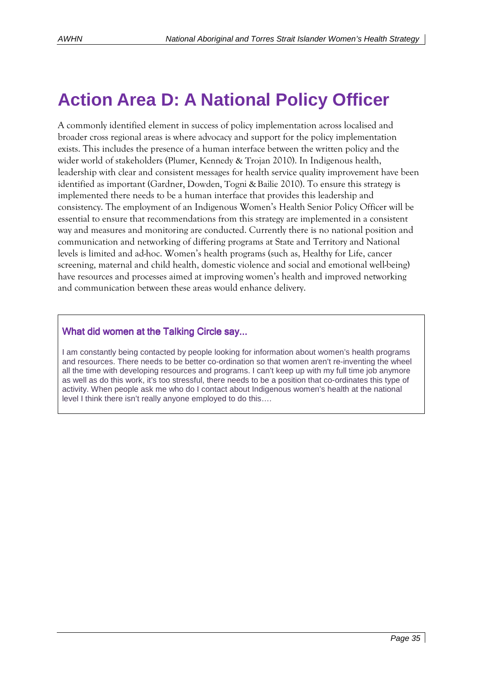## **Action Area D: A National Policy Officer**

A commonly identified element in success of policy implementation across localised and broader cross regional areas is where advocacy and support for the policy implementation exists. This includes the presence of a human interface between the written policy and the wider world of stakeholders (Plumer, Kennedy & Trojan 2010). In Indigenous health, leadership with clear and consistent messages for health service quality improvement have been identified as important (Gardner, Dowden, Togni & Bailie 2010). To ensure this strategy is implemented there needs to be a human interface that provides this leadership and consistency. The employment of an Indigenous Women's Health Senior Policy Officer will be essential to ensure that recommendations from this strategy are implemented in a consistent way and measures and monitoring are conducted. Currently there is no national position and communication and networking of differing programs at State and Territory and National levels is limited and ad-hoc. Women's health programs (such as, Healthy for Life, cancer screening, maternal and child health, domestic violence and social and emotional well-being) have resources and processes aimed at improving women's health and improved networking and communication between these areas would enhance delivery.

#### What did women at the Talking Circle say...

I am constantly being contacted by people looking for information about women's health programs and resources. There needs to be better co-ordination so that women aren't re-inventing the wheel all the time with developing resources and programs. I can't keep up with my full time job anymore as well as do this work, it's too stressful, there needs to be a position that co-ordinates this type of activity. When people ask me who do I contact about Indigenous women's health at the national level I think there isn't really anyone employed to do this….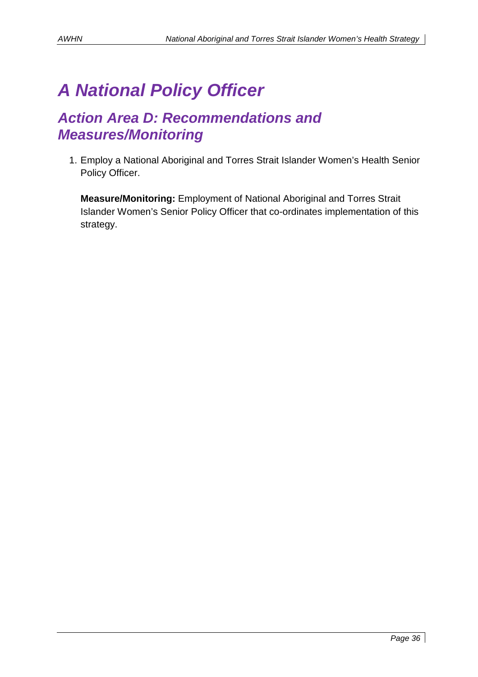# **A National Policy Officer**

### **Action Area D: Recommendations and Measures/Monitoring**

1. Employ a National Aboriginal and Torres Strait Islander Women's Health Senior Policy Officer.

**Measure/Monitoring:** Employment of National Aboriginal and Torres Strait Islander Women's Senior Policy Officer that co-ordinates implementation of this strategy.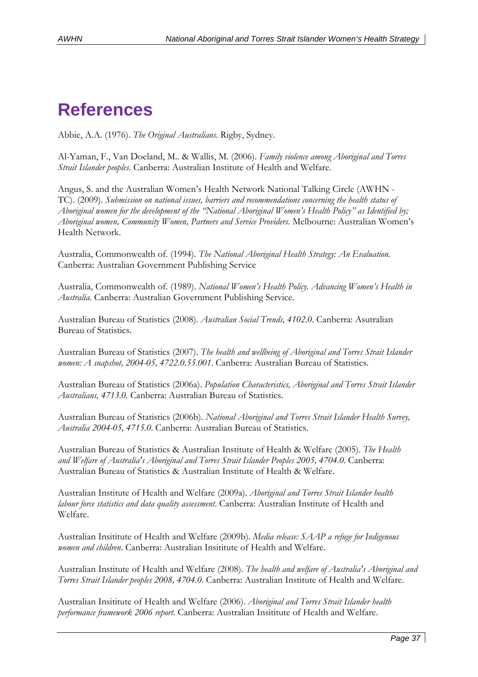## **References**

Abbie, A.A. (1976). The Original Australians. Rigby, Sydney.

Al-Yaman, F., Van Doeland, M.. & Wallis, M. (2006). Family violence among Aboriginal and Torres Strait Islander peoples. Canberra: Australian Institute of Health and Welfare.

Angus, S. and the Australian Women's Health Network National Talking Circle (AWHN - TC). (2009). Submission on national issues, barriers and recommendations concerning the health status of Aboriginal women for the development of the "National Aboriginal Women's Health Policy" as Identified by; Aboriginal women, Community Women, Partners and Service Providers. Melbourne: Australian Women's Health Network.

Australia, Commonwealth of. (1994). The National Aboriginal Health Strategy: An Evaluation. Canberra: Australian Government Publishing Service

Australia, Commonwealth of. (1989). National Women's Health Policy. Advancing Women's Health in Australia. Canberra: Australian Government Publishing Service.

Australian Bureau of Statistics (2008). Australian Social Trends, 4102.0. Canberra: Asutralian Bureau of Statistics.

Australian Bureau of Statistics (2007). The health and wellbeing of Aboriginal and Torres Strait Islander women: A snapshot, 2004-05, 4722.0.55.001. Canberra: Australian Bureau of Statistics.

Australian Bureau of Statistics (2006a). Population Characteristics, Aboriginal and Torres Strait Islander Australians, 4713.0. Canberra: Australian Bureau of Statistics.

Australian Bureau of Statistics (2006b). National Aboriginal and Torres Strait Islander Health Survey, Australia 2004-05, 4715.0. Canberra: Australian Bureau of Statistics.

Australian Bureau of Statistics & Australian Institute of Health & Welfare (2005). The Health and Welfare of Australia's Aboriginal and Torres Strait Islander Peoples 2005, 4704.0. Canberra: Australian Bureau of Statistics & Australian Institute of Health & Welfare.

Australian Institute of Health and Welfare (2009a). Aboriginal and Torres Strait Islander health labour force statistics and data quality assessment. Canberra: Australian Institute of Health and Welfare.

Australian Insititute of Health and Welfare (2009b). Media release: SAAP a refuge for Indigenous women and children. Canberra: Australian Insititute of Health and Welfare.

Australian Institute of Health and Welfare (2008). The health and welfare of Australia's Aboriginal and Torres Strait Islander peoples 2008, 4704.0. Canberra: Australian Institute of Health and Welfare.

Australian Insititute of Health and Welfare (2006). Aboriginal and Torres Strait Islander health performance framework 2006 report. Canberra: Australian Insititute of Health and Welfare.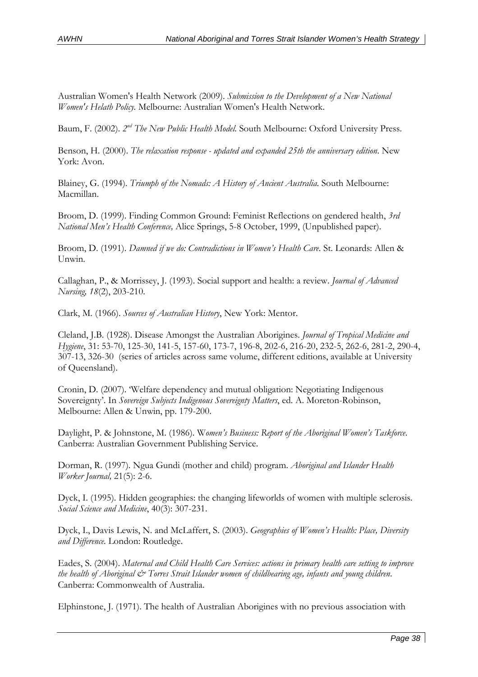Australian Women's Health Network (2009). Submission to the Development of a New National Women's Helath Policy. Melbourne: Australian Women's Health Network.

Baum, F. (2002). 2<sup>nd</sup> The New Public Health Model. South Melbourne: Oxford University Press.

Benson, H. (2000). The relaxation response - updated and expanded 25th the anniversary edition. New York: Avon.

Blainey, G. (1994). Triumph of the Nomads: A History of Ancient Australia. South Melbourne: Macmillan.

Broom, D. (1999). Finding Common Ground: Feminist Reflections on gendered health, 3rd National Men's Health Conference, Alice Springs, 5-8 October, 1999, (Unpublished paper).

Broom, D. (1991). Damned if we do: Contradictions in Women's Health Care. St. Leonards: Allen & Unwin.

Callaghan, P., & Morrissey, J. (1993). Social support and health: a review. Journal of Advanced Nursing, 18(2), 203-210.

Clark, M. (1966). Sources of Australian History, New York: Mentor.

Cleland, J.B. (1928). Disease Amongst the Australian Aborigines. Journal of Tropical Medicine and Hygiene, 31: 53-70, 125-30, 141-5, 157-60, 173-7, 196-8, 202-6, 216-20, 232-5, 262-6, 281-2, 290-4, 307-13, 326-30 (series of articles across same volume, different editions, available at University of Queensland).

Cronin, D. (2007). 'Welfare dependency and mutual obligation: Negotiating Indigenous Sovereignty'. In Sovereign Subjects Indigenous Sovereignty Matters, ed. A. Moreton-Robinson, Melbourne: Allen & Unwin, pp. 179-200.

Daylight, P. & Johnstone, M. (1986). Women's Business: Report of the Aboriginal Women's Taskforce. Canberra: Australian Government Publishing Service.

Dorman, R. (1997). Ngua Gundi (mother and child) program. Aboriginal and Islander Health Worker Journal, 21(5): 2-6.

Dyck, I. (1995). Hidden geographies: the changing lifeworlds of women with multiple sclerosis. Social Science and Medicine, 40(3): 307-231.

Dyck, I., Davis Lewis, N. and McLaffert, S. (2003). Geographies of Women's Health: Place, Diversity and Difference. London: Routledge.

Eades, S. (2004). Maternal and Child Health Care Services: actions in primary health care setting to improve the health of Aboriginal  $\mathfrak{S}$  Torres Strait Islander women of childbearing age, infants and young children. Canberra: Commonwealth of Australia.

Elphinstone, J. (1971). The health of Australian Aborigines with no previous association with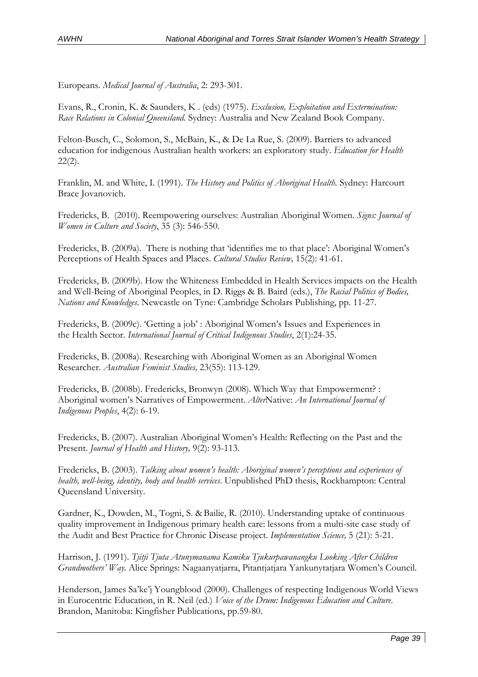Europeans. Medical Journal of Australia, 2: 293-301.

Evans, R., Cronin, K. & Saunders, K . (eds) (1975). Exclusion, Exploitation and Extermination: Race Relations in Colonial Queensland. Sydney: Australia and New Zealand Book Company.

Felton-Busch, C., Solomon, S., McBain, K., & De La Rue, S. (2009). Barriers to advanced education for indigenous Australian health workers: an exploratory study. Education for Health  $22(2)$ .

Franklin, M. and White, I. (1991). The History and Politics of Aboriginal Health. Sydney: Harcourt Brace Jovanovich.

Fredericks, B. (2010). Reempowering ourselves: Australian Aboriginal Women. Signs: Journal of Women in Culture and Society, 35 (3): 546-550.

Fredericks, B. (2009a). There is nothing that 'identifies me to that place': Aboriginal Women's Perceptions of Health Spaces and Places. Cultural Studies Review, 15(2): 41-61.

Fredericks, B. (2009b). How the Whiteness Embedded in Health Services impacts on the Health and Well-Being of Aboriginal Peoples, in D. Riggs & B. Baird (eds.), The Racial Politics of Bodies, Nations and Knowledges. Newcastle on Tyne: Cambridge Scholars Publishing, pp. 11-27.

Fredericks, B. (2009c). 'Getting a job' : Aboriginal Women's Issues and Experiences in the Health Sector. International Journal of Critical Indigenous Studies, 2(1):24-35.

Fredericks, B. (2008a). Researching with Aboriginal Women as an Aboriginal Women Researcher. Australian Feminist Studies, 23(55): 113-129.

Fredericks, B. (2008b). Fredericks, Bronwyn (2008). Which Way that Empowerment? : Aboriginal women's Narratives of Empowerment. AlterNative: An International Journal of Indigenous Peoples, 4(2): 6-19.

Fredericks, B. (2007). Australian Aboriginal Women's Health: Reflecting on the Past and the Present. Journal of Health and History, 9(2): 93-113.

Fredericks, B. (2003). Talking about women's health: Aboriginal women's perceptions and experiences of health, well-being, identity, body and health services. Unpublished PhD thesis, Rockhampton: Central Queensland University.

Gardner, K., Dowden, M., Togni, S. & Bailie, R. (2010). Understanding uptake of continuous quality improvement in Indigenous primary health care: lessons from a multi-site case study of the Audit and Best Practice for Chronic Disease project. *Implementation Science*, 5 (21): 5-21.

Harrison, J. (1991). Tjitji Tjuta Atunymanama Kamiku Tjukurpawanangku Looking After Children Grandmothers' Way. Alice Springs: Nagaanyatjarra, Pitantjatjara Yankunytatjara Women's Council.

Henderson, James Sa'ke'j Youngblood (2000). Challenges of respecting Indigenous World Views in Eurocentric Education, in R. Neil (ed.) Voice of the Drum: Indigenous Education and Culture. Brandon, Manitoba: Kingfisher Publications, pp.59-80.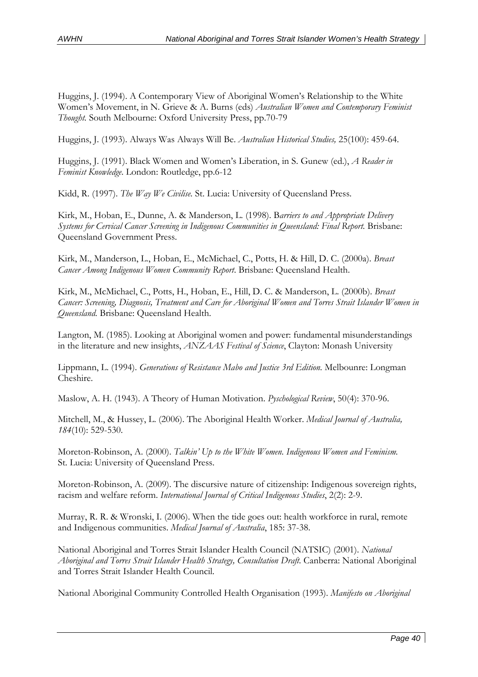Huggins, J. (1994). A Contemporary View of Aboriginal Women's Relationship to the White Women's Movement, in N. Grieve & A. Burns (eds) Australian Women and Contemporary Feminist Thought. South Melbourne: Oxford University Press, pp.70-79

Huggins, J. (1993). Always Was Always Will Be. Australian Historical Studies, 25(100): 459-64.

Huggins, J. (1991). Black Women and Women's Liberation, in S. Gunew (ed.), A Reader in Feminist Knowledge. London: Routledge, pp.6-12

Kidd, R. (1997). The Way We Civilise. St. Lucia: University of Queensland Press.

Kirk, M., Hoban, E., Dunne, A. & Manderson, L. (1998). Barriers to and Appropriate Delivery Systems for Cervical Cancer Screening in Indigenous Communities in Queensland: Final Report. Brisbane: Queensland Government Press.

Kirk, M., Manderson, L., Hoban, E., McMichael, C., Potts, H. & Hill, D. C. (2000a). Breast Cancer Among Indigenous Women Community Report. Brisbane: Queensland Health.

Kirk, M., McMichael, C., Potts, H., Hoban, E., Hill, D. C. & Manderson, L. (2000b). Breast Cancer: Screening, Diagnosis, Treatment and Care for Aboriginal Women and Torres Strait Islander Women in Queensland. Brisbane: Queensland Health.

Langton, M. (1985). Looking at Aboriginal women and power: fundamental misunderstandings in the literature and new insights, *ANZAAS Festival of Science*, Clayton: Monash University

Lippmann, L. (1994). Generations of Resistance Mabo and Justice 3rd Edition. Melbounre: Longman Cheshire.

Maslow, A. H. (1943). A Theory of Human Motivation. Pyschological Review, 50(4): 370-96.

Mitchell, M., & Hussey, L. (2006). The Aboriginal Health Worker. *Medical Journal of Australia*, 184(10): 529-530.

Moreton-Robinson, A. (2000). Talkin' Up to the White Women. Indigenous Women and Feminism. St. Lucia: University of Queensland Press.

Moreton-Robinson, A. (2009). The discursive nature of citizenship: Indigenous sovereign rights, racism and welfare reform. International Journal of Critical Indigenous Studies, 2(2): 2-9.

Murray, R. R. & Wronski, I. (2006). When the tide goes out: health workforce in rural, remote and Indigenous communities. Medical Journal of Australia, 185: 37-38.

National Aboriginal and Torres Strait Islander Health Council (NATSIC) (2001). National Aboriginal and Torres Strait Islander Health Strategy, Consultation Draft. Canberra: National Aboriginal and Torres Strait Islander Health Council.

National Aboriginal Community Controlled Health Organisation (1993). Manifesto on Aboriginal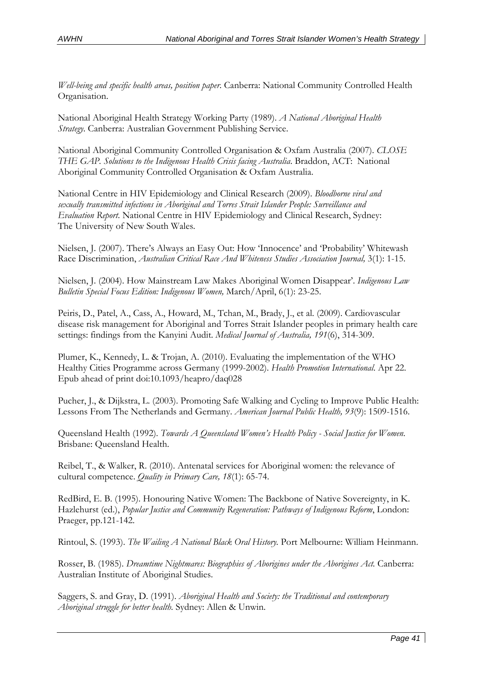Well-being and specific health areas, position paper. Canberra: National Community Controlled Health Organisation.

National Aboriginal Health Strategy Working Party (1989). A National Aboriginal Health Strategy. Canberra: Australian Government Publishing Service.

National Aboriginal Community Controlled Organisation & Oxfam Australia (2007). CLOSE THE GAP. Solutions to the Indigenous Health Crisis facing Australia. Braddon, ACT: National Aboriginal Community Controlled Organisation & Oxfam Australia.

National Centre in HIV Epidemiology and Clinical Research (2009). Bloodborne viral and sexually transmitted infections in Aboriginal and Torres Strait Islander People: Surveillance and Evaluation Report. National Centre in HIV Epidemiology and Clinical Research, Sydney: The University of New South Wales.

Nielsen, J. (2007). There's Always an Easy Out: How 'Innocence' and 'Probability' Whitewash Race Discrimination, Australian Critical Race And Whiteness Studies Association Journal, 3(1): 1-15.

Nielsen, J. (2004). How Mainstream Law Makes Aboriginal Women Disappear'. Indigenous Law Bulletin Special Focus Edition: Indigenous Women, March/April, 6(1): 23-25.

Peiris, D., Patel, A., Cass, A., Howard, M., Tchan, M., Brady, J., et al. (2009). Cardiovascular disease risk management for Aboriginal and Torres Strait Islander peoples in primary health care settings: findings from the Kanyini Audit. Medical Journal of Australia, 191(6), 314-309.

Plumer, K., Kennedy, L. & Trojan, A. (2010). Evaluating the implementation of the WHO Healthy Cities Programme across Germany (1999-2002). Health Promotion International. Apr 22. Epub ahead of print doi:10.1093/heapro/daq028

Pucher, J., & Dijkstra, L. (2003). Promoting Safe Walking and Cycling to Improve Public Health: Lessons From The Netherlands and Germany. American Journal Public Health, 93(9): 1509-1516.

Queensland Health (1992). Towards A Queensland Women's Health Policy - Social Justice for Women. Brisbane: Queensland Health.

Reibel, T., & Walker, R. (2010). Antenatal services for Aboriginal women: the relevance of cultural competence. Quality in Primary Care, 18(1): 65-74.

RedBird, E. B. (1995). Honouring Native Women: The Backbone of Native Sovereignty, in K. Hazlehurst (ed.), Popular Justice and Community Regeneration: Pathways of Indigenous Reform, London: Praeger, pp.121-142.

Rintoul, S. (1993). The Wailing A National Black Oral History. Port Melbourne: William Heinmann.

Rosser, B. (1985). *Dreamtime Nightmares: Biographies of Aborigines under the Aborigines Act.* Canberra: Australian Institute of Aboriginal Studies.

Saggers, S. and Gray, D. (1991). Aboriginal Health and Society: the Traditional and contemporary Aboriginal struggle for better health. Sydney: Allen & Unwin.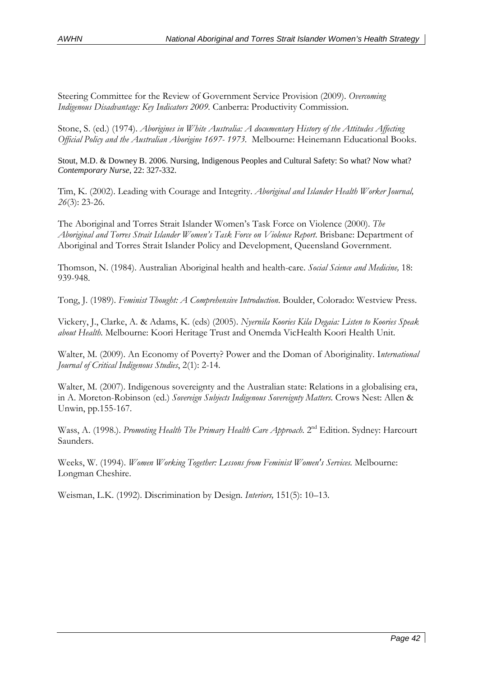Steering Committee for the Review of Government Service Provision (2009). Overcoming Indigenous Disadvantage: Key Indicators 2009. Canberra: Productivity Commission.

Stone, S. (ed.) (1974). Aborigines in White Australia: A documentary History of the Attitudes Affecting Official Policy and the Australian Aborigine 1697- 1973. Melbourne: Heinemann Educational Books.

Stout, M.D. & Downey B. 2006. Nursing, Indigenous Peoples and Cultural Safety: So what? Now what? *Contemporary Nurse*, 22: 327-332.

Tim, K. (2002). Leading with Courage and Integrity. Aboriginal and Islander Health Worker Journal, 26(3): 23-26.

The Aboriginal and Torres Strait Islander Women's Task Force on Violence (2000). The Aboriginal and Torres Strait Islander Women's Task Force on Violence Report. Brisbane: Department of Aboriginal and Torres Strait Islander Policy and Development, Queensland Government.

Thomson, N. (1984). Australian Aboriginal health and health-care. Social Science and Medicine, 18: 939-948.

Tong, J. (1989). Feminist Thought: A Comprehensive Introduction. Boulder, Colorado: Westview Press.

Vickery, J., Clarke, A. & Adams, K. (eds) (2005). Nyernila Koories Kila Degaia: Listen to Koories Speak about Health. Melbourne: Koori Heritage Trust and Onemda VicHealth Koori Health Unit.

Walter, M. (2009). An Economy of Poverty? Power and the Doman of Aboriginality. International Journal of Critical Indigenous Studies, 2(1): 2-14.

Walter, M. (2007). Indigenous sovereignty and the Australian state: Relations in a globalising era, in A. Moreton-Robinson (ed.) Sovereign Subjects Indigenous Sovereignty Matters. Crows Nest: Allen & Unwin, pp.155-167.

Wass, A. (1998.). Promoting Health The Primary Health Care Approach. 2<sup>nd</sup> Edition. Sydney: Harcourt Saunders.

Weeks, W. (1994). Women Working Together: Lessons from Feminist Women's Services. Melbourne: Longman Cheshire.

Weisman, L.K. (1992). Discrimination by Design. Interiors, 151(5): 10–13.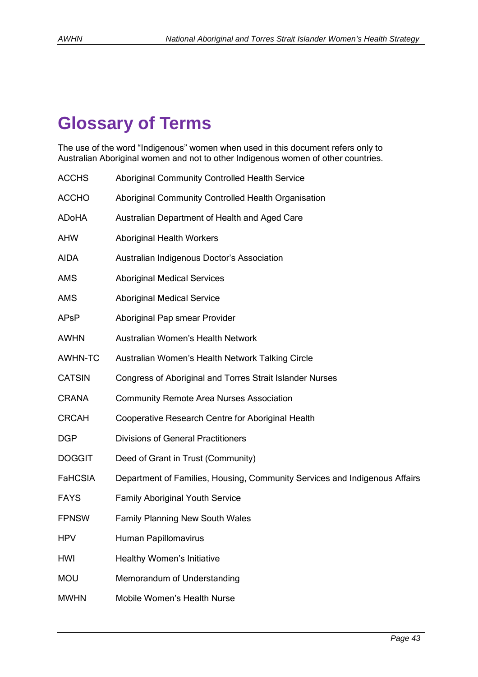### **Glossary of Terms**

The use of the word "Indigenous" women when used in this document refers only to Australian Aboriginal women and not to other Indigenous women of other countries.

| ACCHS          | <b>Aboriginal Community Controlled Health Service</b>                      |
|----------------|----------------------------------------------------------------------------|
| ACCHO          | Aboriginal Community Controlled Health Organisation                        |
| ADoHA          | Australian Department of Health and Aged Care                              |
| AHW            | <b>Aboriginal Health Workers</b>                                           |
| AIDA           | Australian Indigenous Doctor's Association                                 |
| AMS            | <b>Aboriginal Medical Services</b>                                         |
| AMS            | <b>Aboriginal Medical Service</b>                                          |
| APsP           | Aboriginal Pap smear Provider                                              |
| AWHN           | Australian Women's Health Network                                          |
| <b>AWHN-TC</b> | Australian Women's Health Network Talking Circle                           |
| <b>CATSIN</b>  | <b>Congress of Aboriginal and Torres Strait Islander Nurses</b>            |
| <b>CRANA</b>   | <b>Community Remote Area Nurses Association</b>                            |
| <b>CRCAH</b>   | Cooperative Research Centre for Aboriginal Health                          |
| DGP            | <b>Divisions of General Practitioners</b>                                  |
| <b>DOGGIT</b>  | Deed of Grant in Trust (Community)                                         |
| FaHCSIA        | Department of Families, Housing, Community Services and Indigenous Affairs |
| FAYS           | <b>Family Aboriginal Youth Service</b>                                     |
| <b>FPNSW</b>   | <b>Family Planning New South Wales</b>                                     |
| HPV            | Human Papillomavirus                                                       |
| HWI            | Healthy Women's Initiative                                                 |
| MOU            | Memorandum of Understanding                                                |
| <b>MWHN</b>    | Mobile Women's Health Nurse                                                |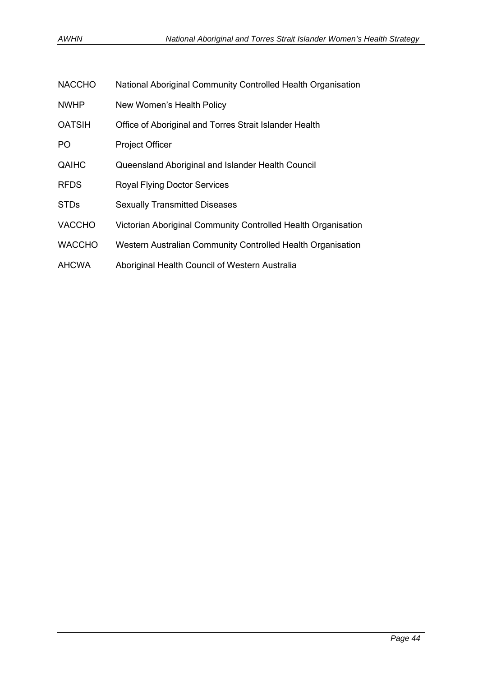| <b>NACCHO</b> | National Aboriginal Community Controlled Health Organisation  |
|---------------|---------------------------------------------------------------|
| <b>NWHP</b>   | New Women's Health Policy                                     |
| <b>OATSIH</b> | Office of Aboriginal and Torres Strait Islander Health        |
| PO.           | <b>Project Officer</b>                                        |
| QAIHC         | Queensland Aboriginal and Islander Health Council             |
| <b>RFDS</b>   | <b>Royal Flying Doctor Services</b>                           |
| <b>STDs</b>   | <b>Sexually Transmitted Diseases</b>                          |
| <b>VACCHO</b> | Victorian Aboriginal Community Controlled Health Organisation |
| <b>WACCHO</b> | Western Australian Community Controlled Health Organisation   |
| <b>AHCWA</b>  | Aboriginal Health Council of Western Australia                |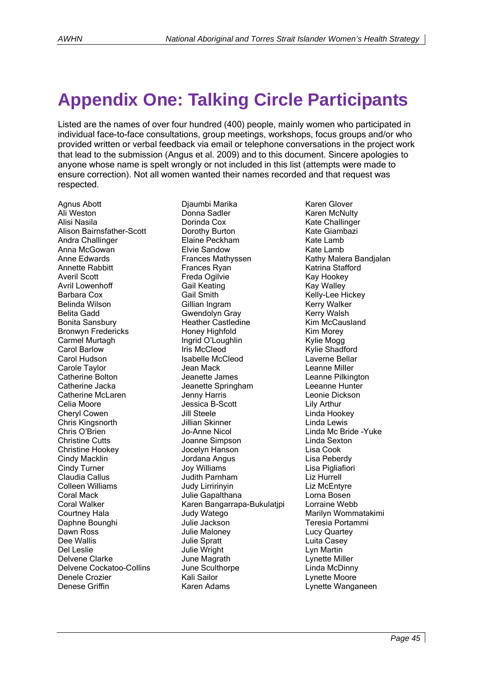## **Appendix One: Talking Circle Participants**

Listed are the names of over four hundred (400) people, mainly women who participated in individual face-to-face consultations, group meetings, workshops, focus groups and/or who provided written or verbal feedback via email or telephone conversations in the project work that lead to the submission (Angus et al. 2009) and to this document. Sincere apologies to anyone whose name is spelt wrongly or not included in this list (attempts were made to ensure correction). Not all women wanted their names recorded and that request was respected.

Agnus Abott Ali Weston Alisi Nasila Alison Bairnsfather-Scott Andra Challinger Anna McGowan Anne Edwards Annette Rabbitt Averil Scott Avril Lowenhoff Barbara Cox Belinda Wilson Belita Gadd Bonita Sansbury Bronwyn Fredericks Carmel Murtagh Carol Barlow Carol Hudson Carole Taylor Catherine Bolton Catherine Jacka Catherine McLaren Celia Moore Cheryl Cowen Chris Kingsnorth Chris O'Brien Christine Cutts Christine Hookey Cindy Macklin Cindy Turner Claudia Callus Colleen Williams Coral Mack Coral Walker Courtney Hala Daphne Bounghi Dawn Ross Dee Wallis Del Leslie Delvene Clarke Delvene Cockatoo-Collins Denele Crozier Denese Griffin

Djaumbi Marika Donna Sadler Dorinda Cox Dorothy Burton Elaine Peckham Elvie Sandow Frances Mathyssen Frances Ryan Freda Ogilvie Gail Keating Gail Smith Gillian Ingram Gwendolyn Gray Heather Castledine Honey Highfold Ingrid O'Loughlin Iris McCleod Isabelle McCleod Jean Mack Jeanette James Jeanette Springham Jenny Harris Jessica B-Scott Jill Steele Jillian Skinner Jo-Anne Nicol Joanne Simpson Jocelyn Hanson Jordana Angus Joy Williams Judith Parnham Judy Lirririnyin Julie Gapalthana Karen Bangarrapa-Bukulatjpi Judy Watego Julie Jackson Julie Maloney Julie Spratt Julie Wright June Magrath June Sculthorpe Kali Sailor Karen Adams

Karen Glover Karen McNulty Kate Challinger Kate Giambazi Kate Lamb Kate Lamb Kathy Malera Bandjalan Katrina Stafford Kay Hookey Kay Walley Kelly-Lee Hickey Kerry Walker Kerry Walsh Kim McCausland Kim Morey Kylie Mogg Kylie Shadford Laverne Bellar Leanne Miller Leanne Pilkington Leeanne Hunter Leonie Dickson Lily Arthur Linda Hookey Linda Lewis Linda Mc Bride -Yuke Linda Sexton Lisa Cook Lisa Peberdy Lisa Pigliafiori Liz Hurrell Liz McEntyre Lorna Bosen Lorraine Webb Marilyn Wommatakimi Teresia Portammi Lucy Quartey Luita Casey Lyn Martin Lynette Miller Linda McDinny Lynette Moore Lynette Wanganeen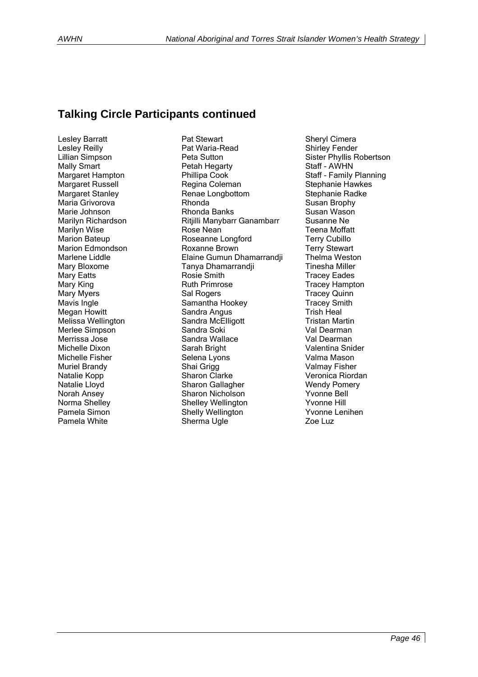### **Talking Circle Participants continued**

Lesley Barratt Lesley Reilly Lillian Simpson Mally Smart Margaret Hampton Margaret Russell Margaret Stanley Maria Grivorova Marie Johnson Marilyn Richardson Marilyn Wise Marion Bateup Marion Edmondson Marlene Liddle Mary Bloxome Mary Eatts Mary King Mary Myers Mavis Ingle Megan Howitt Melissa Wellington Merlee Simpson Merrissa Jose Michelle Dixon Michelle Fisher Muriel Brandy Natalie Kopp Natalie Lloyd Norah Ansey Norma Shelley Pamela Simon Pamela White

Pat Stewart Pat Waria-Read Peta Sutton Petah Hegarty Phillipa Cook Regina Coleman Renae Longbottom Rhonda Rhonda Banks Ritjilli Manybarr Ganambarr Rose Nean Roseanne Longford Roxanne Brown Elaine Gumun Dhamarrandji Tanya Dhamarrandji Rosie Smith Ruth Primrose Sal Rogers Samantha Hookey Sandra Angus Sandra McElligott Sandra Soki Sandra Wallace Sarah Bright Selena Lyons Shai Grigg Sharon Clarke Sharon Gallagher Sharon Nicholson Shelley Wellington Shelly Wellington Sherma Ugle

Sheryl Cimera Shirley Fender Sister Phyllis Robertson Staff - AWHN Staff - Family Planning Stephanie Hawkes Stephanie Radke Susan Brophy Susan Wason Susanne Ne Teena Moffatt Terry Cubillo Terry Stewart Thelma Weston Tinesha Miller Tracey Eades Tracey Hampton Tracey Quinn Tracey Smith Trish Heal Tristan Martin Val Dearman Val Dearman Valentina Snider Valma Mason Valmay Fisher Veronica Riordan Wendy Pomery Yvonne Bell Yvonne Hill Yvonne Lenihen Zoe Luz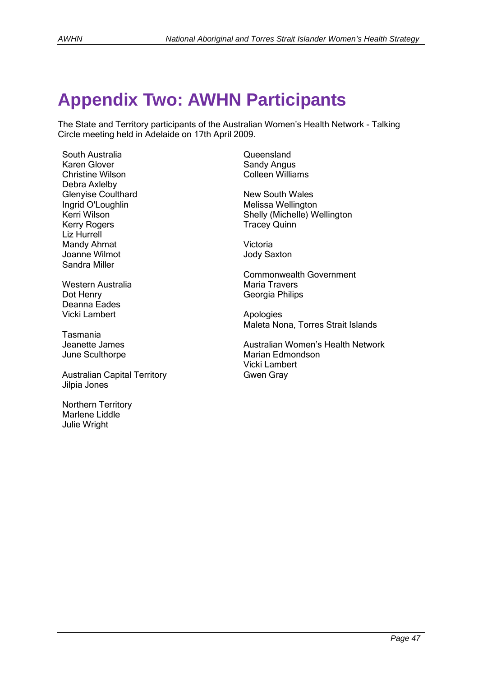## **Appendix Two: AWHN Participants**

The State and Territory participants of the Australian Women's Health Network - Talking Circle meeting held in Adelaide on 17th April 2009.

South Australia Karen Glover Christine Wilson Debra Axlelby Glenyise Coulthard Ingrid O'Loughlin Kerri Wilson Kerry Rogers Liz Hurrell Mandy Ahmat Joanne Wilmot Sandra Miller

Western Australia Dot Henry Deanna Eades Vicki Lambert

Tasmania Jeanette James June Sculthorpe

Australian Capital Territory Jilpia Jones

Northern Territory Marlene Liddle Julie Wright

**Queensland** Sandy Angus Colleen Williams

New South Wales Melissa Wellington Shelly (Michelle) Wellington Tracey Quinn

Victoria Jody Saxton

Commonwealth Government Maria Travers Georgia Philips

Apologies Maleta Nona, Torres Strait Islands

Australian Women's Health Network Marian Edmondson Vicki Lambert Gwen Gray